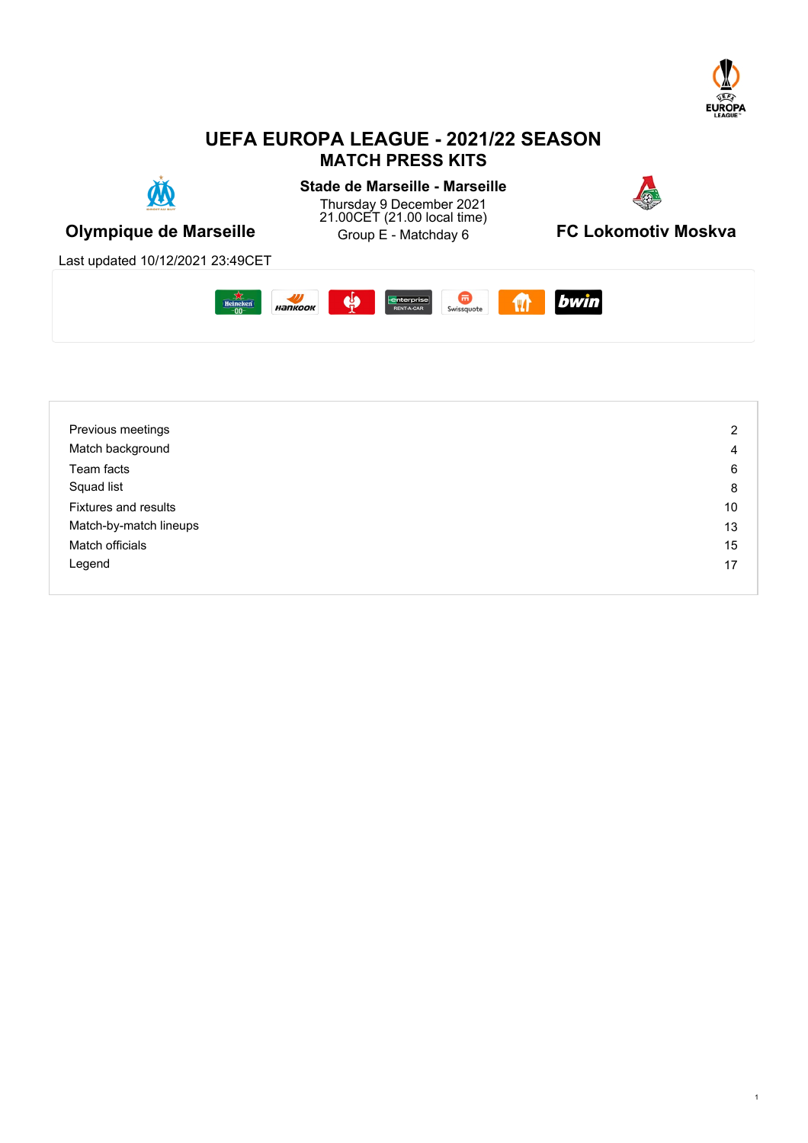

# **UEFA EUROPA LEAGUE - 2021/22 SEASON MATCH PRESS KITS**



**Stade de Marseille - Marseille** Thursday 9 December 2021 21.00CET (21.00 local time)



**Olympique de Marseille Charge Constant Constant Olympique de Marseille** 

**FC Lokomotiv Moskva** 

Last updated 10/12/2021 23:49CET



| Previous meetings           | $\overline{2}$ |
|-----------------------------|----------------|
| Match background            | 4              |
| Team facts                  | 6              |
| Squad list                  | 8              |
| <b>Fixtures and results</b> | 10             |
| Match-by-match lineups      | 13             |
| Match officials             | 15             |
| Legend                      | 17             |
|                             |                |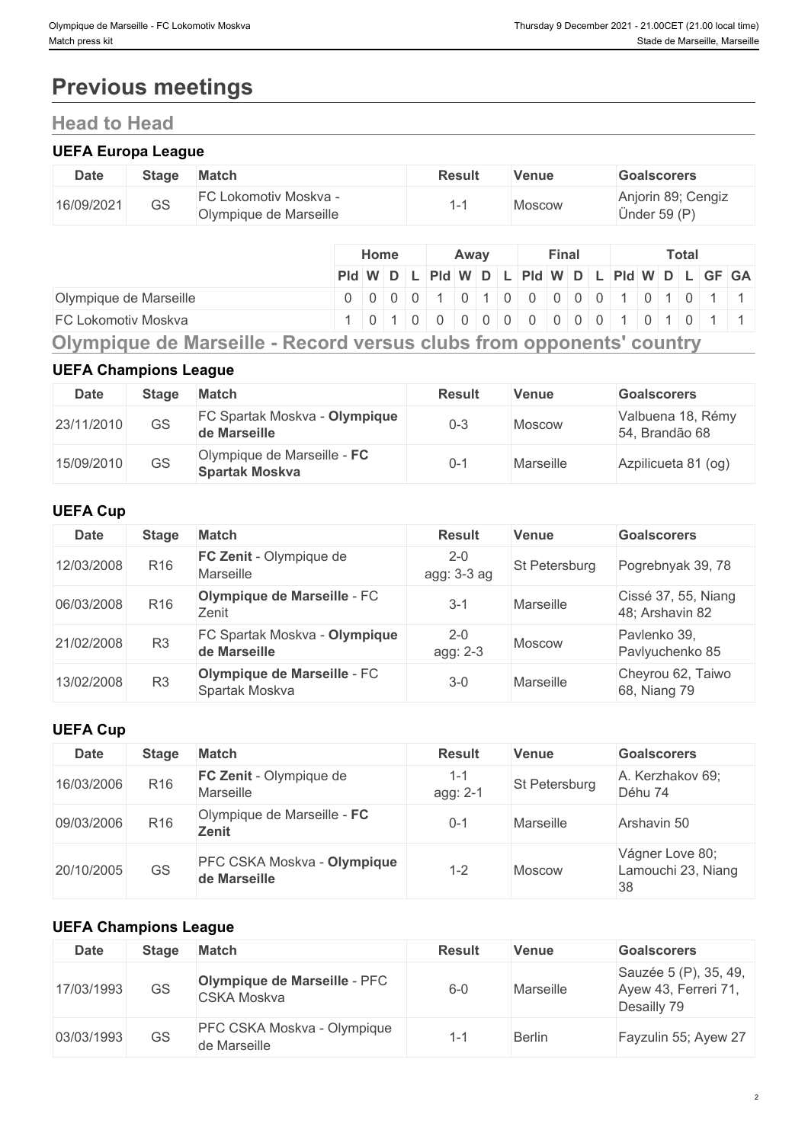# **Previous meetings**

# **Head to Head**

### **UEFA Europa League**

| <b>Date</b> | <b>Stage</b> | <b>Match</b>                                    | <b>Result</b> | <b>Venue</b> | <b>Goalscorers</b>                 |
|-------------|--------------|-------------------------------------------------|---------------|--------------|------------------------------------|
| 16/09/2021  | GS           | FC Lokomotiv Moskva -<br>Olympique de Marseille |               | Moscow       | Anjorin 89; Cengiz<br>Ünder 59 (P) |

|                        |                                               | <b>Home</b> |  | Away |  | Final |  |  | Total |  |  |
|------------------------|-----------------------------------------------|-------------|--|------|--|-------|--|--|-------|--|--|
|                        | Pid W D L Pid W D L Pid W D L Pid W D L GF GA |             |  |      |  |       |  |  |       |  |  |
| Olympique de Marseille |                                               |             |  |      |  |       |  |  |       |  |  |
| FC Lokomotiv Moskva    |                                               |             |  |      |  |       |  |  |       |  |  |
|                        |                                               |             |  |      |  |       |  |  |       |  |  |

**Olympique de Marseille - Record versus clubs from opponents' country**

### **UEFA Champions League**

| Date       | Stage     | Match                                                | <b>Result</b> | <b>Venue</b> | <b>Goalscorers</b>                  |
|------------|-----------|------------------------------------------------------|---------------|--------------|-------------------------------------|
| 23/11/2010 | <b>GS</b> | FC Spartak Moskva - Olympique<br>de Marseille        | $0 - 3$       | Moscow       | Valbuena 18, Rémy<br>54, Brandão 68 |
| 15/09/2010 | GS        | Olympique de Marseille - FC<br><b>Spartak Moskva</b> | J-1           | Marseille    | Azpilicueta 81 (og)                 |

### **UEFA Cup**

| <b>Date</b> | <b>Stage</b>    | <b>Match</b>                                  | <b>Result</b>          | Venue                | <b>Goalscorers</b>                     |
|-------------|-----------------|-----------------------------------------------|------------------------|----------------------|----------------------------------------|
| 12/03/2008  | R <sub>16</sub> | FC Zenit - Olympique de<br>Marseille          | $2 - 0$<br>agg: 3-3 ag | <b>St Petersburg</b> | Pogrebnyak 39, 78                      |
| 06/03/2008  | R <sub>16</sub> | Olympique de Marseille - FC<br>Zenit          | $3 - 1$                | Marseille            | Cissé 37, 55, Niang<br>48; Arshavin 82 |
| 21/02/2008  | R <sub>3</sub>  | FC Spartak Moskva - Olympique<br>de Marseille | $2 - 0$<br>agg: 2-3    | Moscow               | Pavlenko 39,<br>Pavlyuchenko 85        |
| 13/02/2008  | R <sub>3</sub>  | Olympique de Marseille - FC<br>Spartak Moskva | $3-0$                  | Marseille            | Cheyrou 62, Taiwo<br>68, Niang 79      |

### **UEFA Cup**

| <b>Date</b> | <b>Stage</b>    | <b>Match</b>                                | <b>Result</b>       | <b>Venue</b>  | <b>Goalscorers</b>                          |
|-------------|-----------------|---------------------------------------------|---------------------|---------------|---------------------------------------------|
| 16/03/2006  | R <sub>16</sub> | <b>FC Zenit</b> - Olympique de<br>Marseille | $1 - 1$<br>agg: 2-1 | St Petersburg | A. Kerzhakov 69;<br>Déhu 74                 |
| 09/03/2006  | R <sub>16</sub> | Olympique de Marseille - FC<br>Zenit        | $0 - 1$             | Marseille     | Arshavin 50                                 |
| 20/10/2005  | <b>GS</b>       | PFC CSKA Moskva - Olympique<br>de Marseille | 1-2                 | <b>Moscow</b> | Vágner Love 80;<br>Lamouchi 23, Niang<br>38 |

### **UEFA Champions League**

| <b>Date</b> | <b>Stage</b> | <b>Match</b>                                       | <b>Result</b> | Venue         | <b>Goalscorers</b>                                           |
|-------------|--------------|----------------------------------------------------|---------------|---------------|--------------------------------------------------------------|
| 17/03/1993  | <b>GS</b>    | <b>Olympique de Marseille - PFC</b><br>CSKA Moskva | $6 - 0$       | Marseille     | Sauzée 5 (P), 35, 49,<br>Ayew 43, Ferreri 71,<br>Desailly 79 |
| 03/03/1993  | <b>GS</b>    | PFC CSKA Moskva - Olympique<br>de Marseille        | ı —           | <b>Berlin</b> | Fayzulin 55; Ayew 27                                         |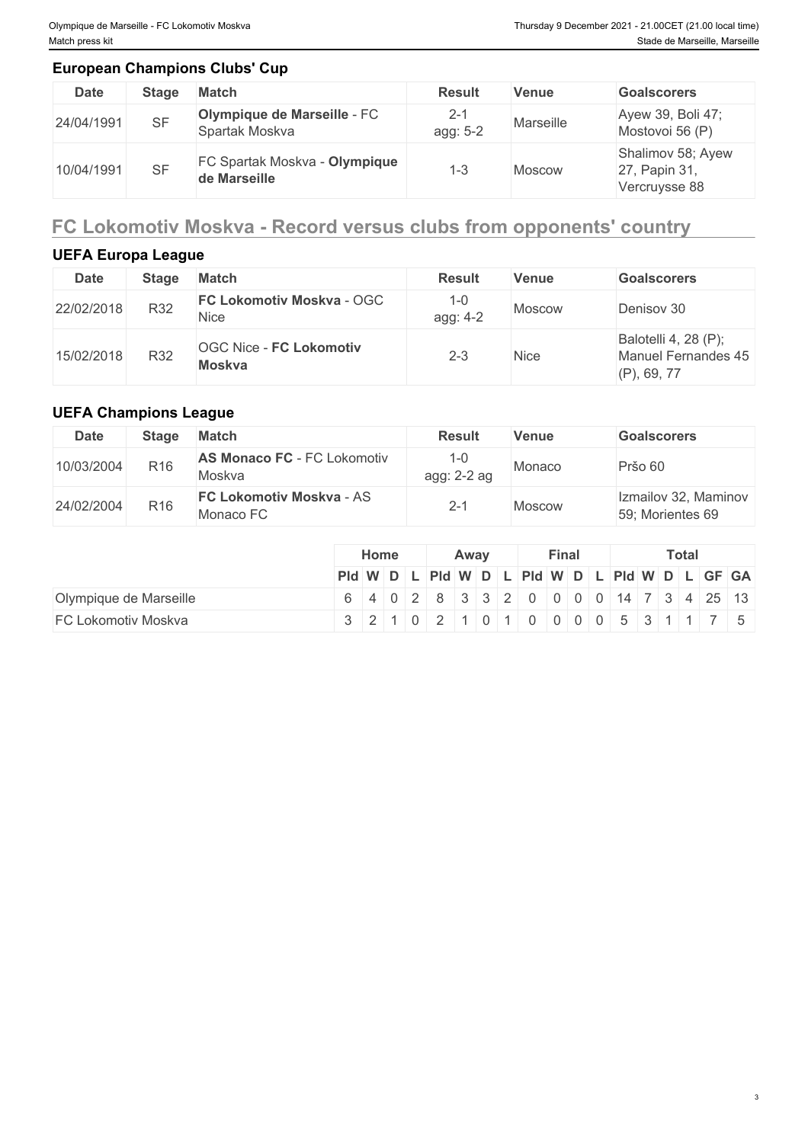### **European Champions Clubs' Cup**

| <b>Date</b> | Stage     | <b>Match</b>                                         | <b>Result</b>       | <b>Venue</b> | <b>Goalscorers</b>                                  |
|-------------|-----------|------------------------------------------------------|---------------------|--------------|-----------------------------------------------------|
| 24/04/1991  | <b>SF</b> | Olympique de Marseille - FC<br>Spartak Moskva        | $2 - 1$<br>agg: 5-2 | Marseille    | Ayew 39, Boli 47;<br>Mostovoi 56 (P)                |
| 10/04/1991  | <b>SF</b> | <b>FC Spartak Moskva - Olympique</b><br>de Marseille | 1 ຕ<br>د−'          | Moscow       | Shalimov 58; Ayew<br>27, Papin 31,<br>Vercruysse 88 |

# **FC Lokomotiv Moskva - Record versus clubs from opponents' country**

## **UEFA Europa League**

| <b>Date</b> | <b>Stage</b> | <b>Match</b>                                    | <b>Result</b>       | Venue       | <b>Goalscorers</b>                                            |
|-------------|--------------|-------------------------------------------------|---------------------|-------------|---------------------------------------------------------------|
| 22/02/2018  | R32          | <b>FC Lokomotiv Moskva - OGC</b><br>Nice        | $1 - 0$<br>agg: 4-2 | Moscow      | Denisov 30                                                    |
| 15/02/2018  | R32          | <b>OGC Nice - FC Lokomotiv</b><br><b>Moskva</b> | $2 - 3$             | <b>Nice</b> | Balotelli 4, 28 (P);<br>Manuel Fernandes 45<br>$(P)$ , 69, 77 |

## **UEFA Champions League**

| <b>Date</b> | <b>Stage</b>    | <b>Match</b>                                 | <b>Result</b> | <b>Venue</b>  | <b>Goalscorers</b>                       |
|-------------|-----------------|----------------------------------------------|---------------|---------------|------------------------------------------|
| 10/03/2004  | R <sub>16</sub> | <b>AS Monaco FC - FC Lokomotiv</b><br>Moskva | agg: 2-2 ag   | Monaco        | Pršo 60                                  |
| 24/02/2004  | R <sub>16</sub> | <b>FC Lokomotiv Moskva - AS</b><br>Monaco FC | 2-٠           | <b>Moscow</b> | Izmailov 32, Maminov<br>59; Morientes 69 |

|                        | Home                                          |  | Away |  | Final |  |  | Total |  |
|------------------------|-----------------------------------------------|--|------|--|-------|--|--|-------|--|
|                        | Pid W D L Pid W D L Pid W D L Pid W D L GF GA |  |      |  |       |  |  |       |  |
| Olympique de Marseille | $6$ 402833200000147342513                     |  |      |  |       |  |  |       |  |
| FC Lokomotiv Moskva    | 1321102110110100005311175                     |  |      |  |       |  |  |       |  |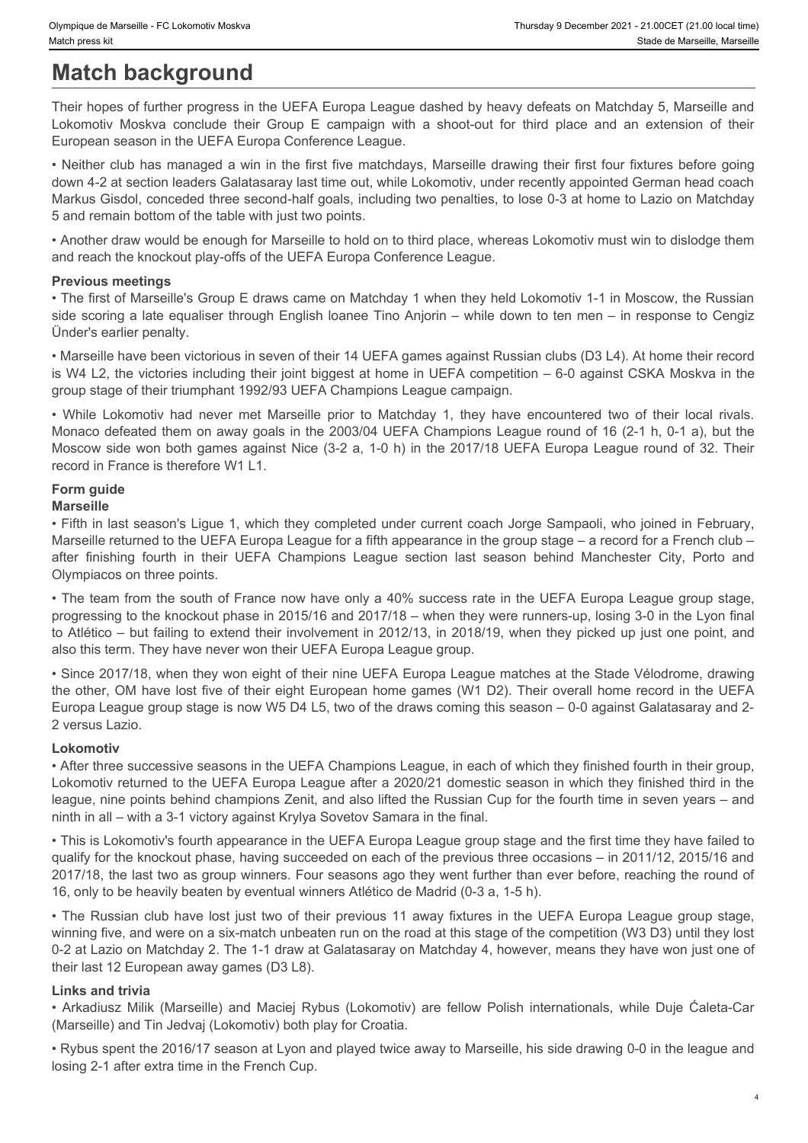# **Match background**

Their hopes of further progress in the UEFA Europa League dashed by heavy defeats on Matchday 5, Marseille and European season in the UEFA Europa Conference League.

Dympique de Marseille - FC Lokomotiv Moskva<br>
Match press kit<br>
Match background<br>
Their hopes of further progress in the UEFA Europa League dashed by heavy defeats on Matchday 5, Marseille and<br>
Lokomotiv Moskva conclude thei • Neither club has managed a win in the first five matchdays, Marseille drawing their first four fixtures before going down 4-2 at section leaders Galatasaray last time out, while Lokomotiv, under recently appointed German head coach Markus Gisdol, conceded three second-half goals, including two penalties, to lose 0-3 at home to Lazio on Matchday 5 and remain bottom of the table with just two points. 3Mmoos statenels FC Labenets Makes<br>
• While China China China China China China China China China China China China China China China China China China China China China China China China China China China China China Chi

• Another draw would be enough for Marseille to hold on to third place, whereas Lokomotiv must win to dislodge them and reach the knockout play-offs of the UEFA Europa Conference League.

### **Previous meetings**

• The first of Marseille's Group E draws came on Matchday 1 when they held Lokomotiv 1-1 in Moscow, the Russian side scoring a late equaliser through English loanee Tino Anjorin – while down to ten men – in response to Cengiz Ünder's earlier penalty.

• Marseille have been victorious in seven of their 14 UEFA games against Russian clubs (D3 L4). At home their record is W4 L2, the victories including their joint biggest at home in UEFA competition – 6-0 against CSKA Moskva in the group stage of their triumphant 1992/93 UEFA Champions League campaign.

Monaco defeated them on away goals in the 2003/04 UEFA Champions League round of 16 (2-1 h, 0-1 a), but the Moscow side won both games against Nice (3-2 a, 1-0 h) in the 2017/18 UEFA Europa League round of 32. Their record in France is therefore W1 L1.

# **Form guide**

### **Marseille**

• Fifth in last season's Ligue 1, which they completed under current coach Jorge Sampaoli, who joined in February, Marseille returned to the UEFA Europa League for a fifth appearance in the group stage – a record for a French club – Olympiacos on three points.

by previous to the interest in Clobenov Moleva (many theories of the interest film) and the many of the interest of the term from the season of their molecules of functions of their through a method in the term fourth in t • The team from the south of France now have only a 40% success rate in the UEFA Europa League group stage, progressing to the knockout phase in 2015/16 and 2017/18 – when they were runners-up, losing 3-0 in the Lyon final to Atlético – but failing to extend their involvement in 2012/13, in 2018/19, when they picked up just one point, and also this term. They have never won their UEFA Europa League group.

• Since 2017/18, when they won eight of their nine UEFA Europa League matches at the Stade Vélodrome, drawing the other, OM have lost five of their eight European home games (W1 D2). Their overall home record in the UEFA Europa League group stage is now W5 D4 L5, two of the draws coming this season – 0-0 against Galatasaray and 2- 2 versus Lazio.

### **Lokomotiv**

• After three successive seasons in the UEFA Champions League, in each of which they finished fourth in their group, Lokomotiv returned to the UEFA Europa League after a 2020/21 domestic season in which they finished third in the league, nine points behind champions Zenit, and also lifted the Russian Cup for the fourth time in seven years – and ninth in all – with a 3-1 victory against Krylya Sovetov Samara in the final.

• This is Lokomotiv's fourth appearance in the UEFA Europa League group stage and the first time they have failed to qualify for the knockout phase, having succeeded on each of the previous three occasions – in 2011/12, 2015/16 and 2017/18, the last two as group winners. Four seasons ago they went further than ever before, reaching the round of 16, only to be heavily beaten by eventual winners Atlético de Madrid (0-3 a, 1-5 h). • Marseille have been violonical marseid of the international margeins applied that said to the Car U.S. Use have the meaning the said that the terms are freedomenastic properties and the properties of the formation and th

• The Russian club have lost just two of their previous 11 away fixtures in the UEFA Europa League group stage, winning five, and were on a six-match unbeaten run on the road at this stage of the competition (W3 D3) until they lost 0-2 at Lazio on Matchday 2. The 1-1 draw at Galatasaray on Matchday 4, however, means they have won just one of their last 12 European away games (D3 L8).

### **Links and trivia**

(Marseille) and Tin Jedvaj (Lokomotiv) both play for Croatia.

• Rybus spent the 2016/17 season at Lyon and played twice away to Marseille, his side drawing 0-0 in the league and losing 2-1 after extra time in the French Cup.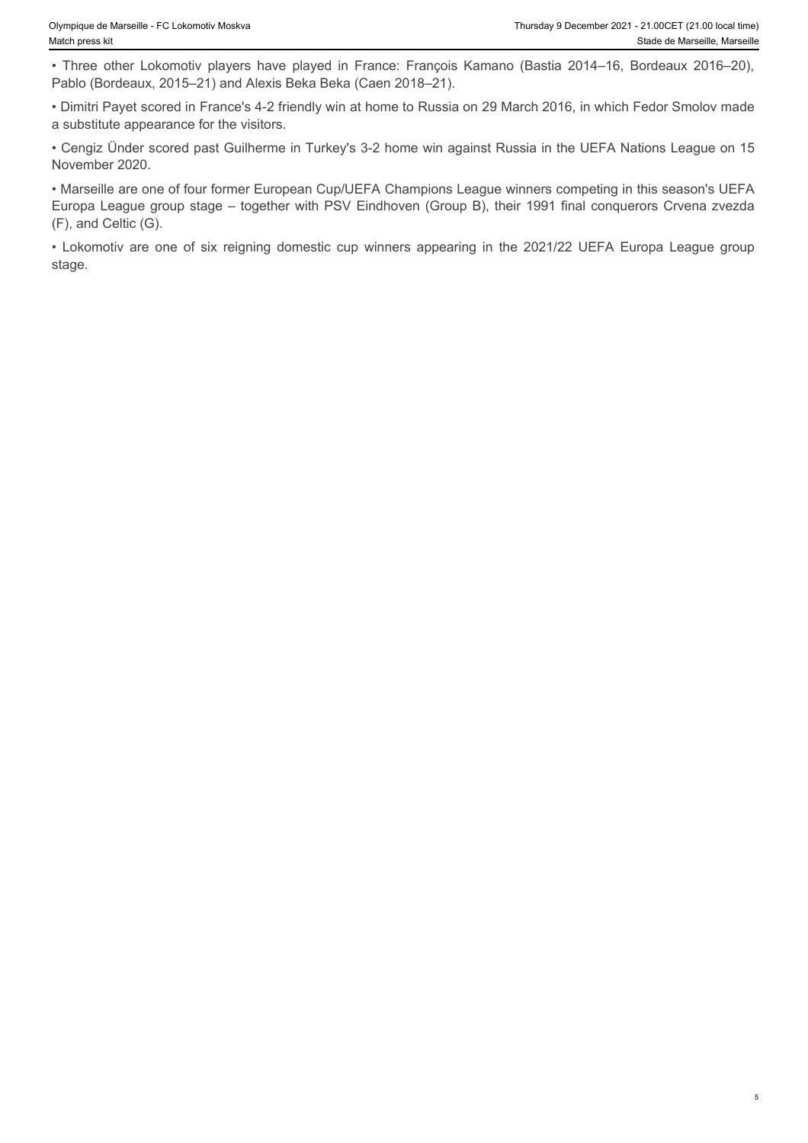Pablo (Bordeaux, 2015–21) and Alexis Beka Beka (Caen 2018–21).

• Dimitri Payet scored in France's 4-2 friendly win at home to Russia on 29 March 2016, in which Fedor Smolov made a substitute appearance for the visitors.

• Cengiz Ünder scored past Guilherme in Turkey's 3-2 home win against Russia in the UEFA Nations League on 15 November 2020.

Flursday 9 December 2021 - 21.00CET (21.00 local time)<br>
Match press kit<br>
• Three other Lokomotiv players have played in France: François Kamano (Bastia 2014–16, Bordeaux 2016–20),<br>
• Pablo (Bordeaux, 2015–21) and Alexis Be • Marseille are one of four former European Cup/UEFA Champions League winners competing in this season's UEFA Europa League group stage – together with PSV Eindhoven (Group B), their 1991 final conquerors Crvena zvezda (F), and Celtic (G). • Dympique de Marsellie - FC Lokomotiv players have played in France: François Kamano (Bastia 2014–16, Bordeaux 2016–20),<br>• Three other Lokomotiv players have played in France: François Kamano (Bastia 2014–16, Bordeaux 201

stage.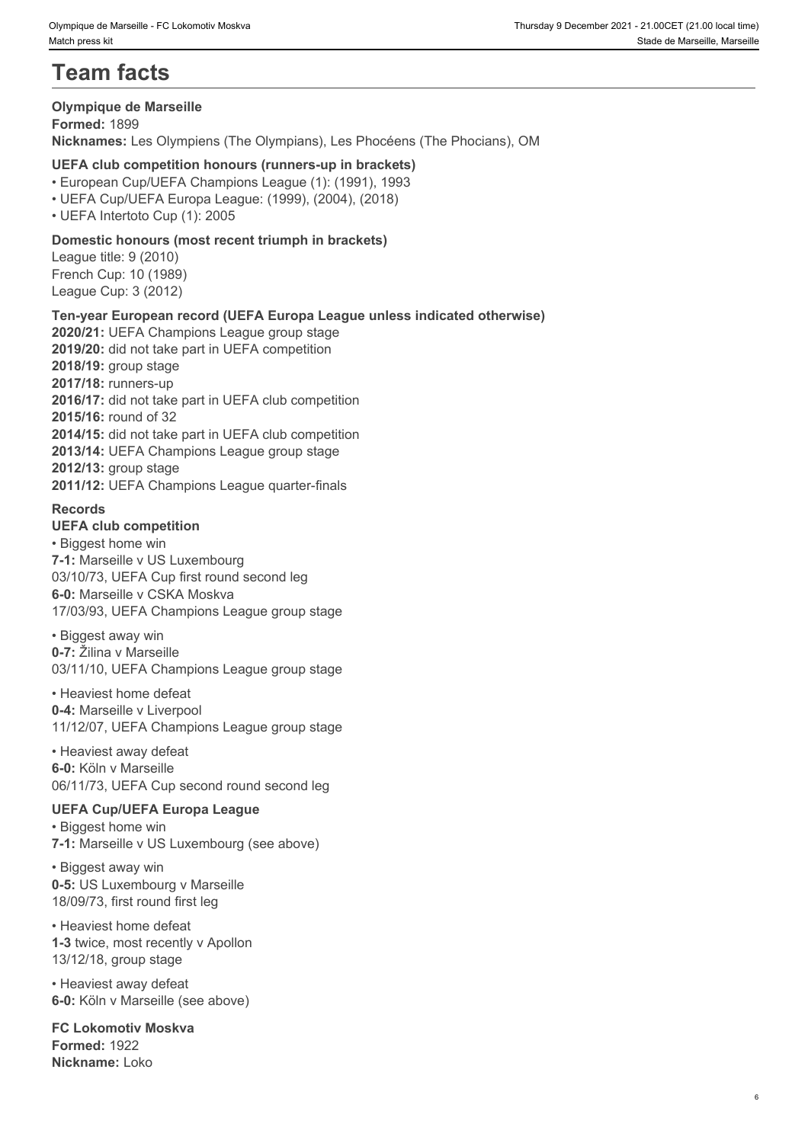# **Team facts**

#### **Olympique de Marseille**

**Formed:** 1899 **Nicknames:** Les Olympiens (The Olympians), Les Phocéens (The Phocians), OM

### **UEFA club competition honours (runners-up in brackets)**

• European Cup/UEFA Champions League (1): (1991), 1993

- UEFA Cup/UEFA Europa League: (1999), (2004), (2018)
- UEFA Intertoto Cup (1): 2005

### **Domestic honours (most recent triumph in brackets)**

League title: 9 (2010) French Cup: 10 (1989) League Cup: 3 (2012)

### **Ten-year European record (UEFA Europa League unless indicated otherwise)**

**2020/21:** UEFA Champions League group stage **2019/20:** did not take part in UEFA competition **2018/19:** group stage **2017/18:** runners-up **2016/17:** did not take part in UEFA club competition **2015/16:** round of 32 **2014/15:** did not take part in UEFA club competition **2013/14:** UEFA Champions League group stage **2012/13:** group stage **2011/12:** UEFA Champions League quarter-finals

### **Records**

### **UEFA club competition**

• Biggest home win **7-1:** Marseille v US Luxembourg 03/10/73, UEFA Cup first round second leg **6-0:** Marseille v CSKA Moskva 17/03/93, UEFA Champions League group stage

• Biggest away win **0-7:** Žilina v Marseille 03/11/10, UEFA Champions League group stage

• Heaviest home defeat **0-4:** Marseille v Liverpool 11/12/07, UEFA Champions League group stage

• Heaviest away defeat **6-0:** Köln v Marseille 06/11/73, UEFA Cup second round second leg

### **UEFA Cup/UEFA Europa League**

• Biggest home win **7-1:** Marseille v US Luxembourg (see above)

• Biggest away win **0-5:** US Luxembourg v Marseille 18/09/73, first round first leg

• Heaviest home defeat **1-3** twice, most recently v Apollon 13/12/18, group stage

• Heaviest away defeat **6-0:** Köln v Marseille (see above)

**FC Lokomotiv Moskva Formed:** 1922 **Nickname:** Loko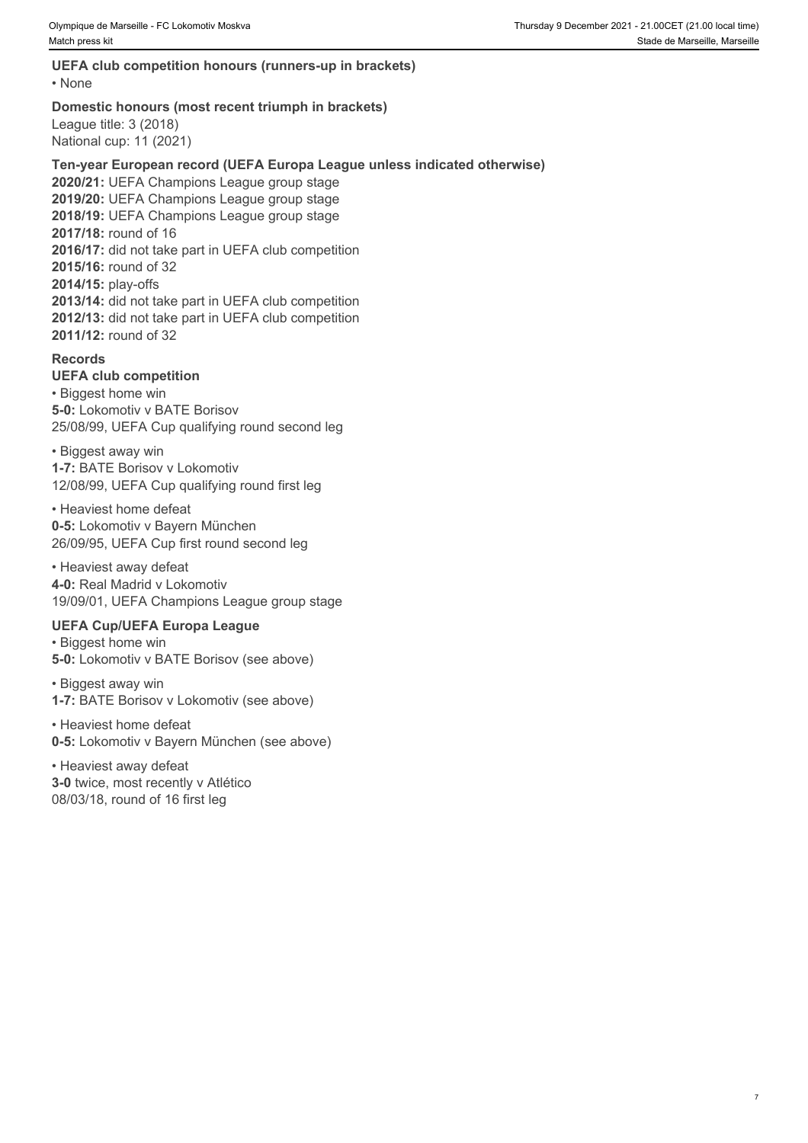### **UEFA club competition honours (runners-up in brackets)**

• None **but the contract of the contract of the contract of the contract of the contract of the contract of the contract of the contract of the contract of the contract of the contract of the contract of the contract of th** 

#### **Domestic honours (most recent triumph in brackets)**

League title: 3 (2018) National cup: 11 (2021)

### **Ten-year European record (UEFA Europa League unless indicated otherwise)**

**2020/21:** UEFA Champions League group stage **2019/20:** UEFA Champions League group stage **2018/19:** UEFA Champions League group stage **2017/18:** round of 16 **2016/17:** did not take part in UEFA club competition **2015/16:** round of 32 **2014/15:** play-offs **2013/14:** did not take part in UEFA club competition **2012/13:** did not take part in UEFA club competition **2011/12:** round of 32

### **Records**

#### **UEFA club competition**

• Biggest home win **5-0:** Lokomotiv v BATE Borisov 25/08/99, UEFA Cup qualifying round second leg

• Biggest away win **1-7:** BATE Borisov v Lokomotiv 12/08/99, UEFA Cup qualifying round first leg

• Heaviest home defeat **0-5:** Lokomotiv v Bayern München 26/09/95, UEFA Cup first round second leg

• Heaviest away defeat **4-0:** Real Madrid v Lokomotiv 19/09/01, UEFA Champions League group stage

### **UEFA Cup/UEFA Europa League**

• Biggest home win **5-0:** Lokomotiv v BATE Borisov (see above)

• Biggest away win **1-7:** BATE Borisov v Lokomotiv (see above)

• Heaviest home defeat **0-5:** Lokomotiv v Bayern München (see above)

• Heaviest away defeat **3-0** twice, most recently v Atlético 08/03/18, round of 16 first leg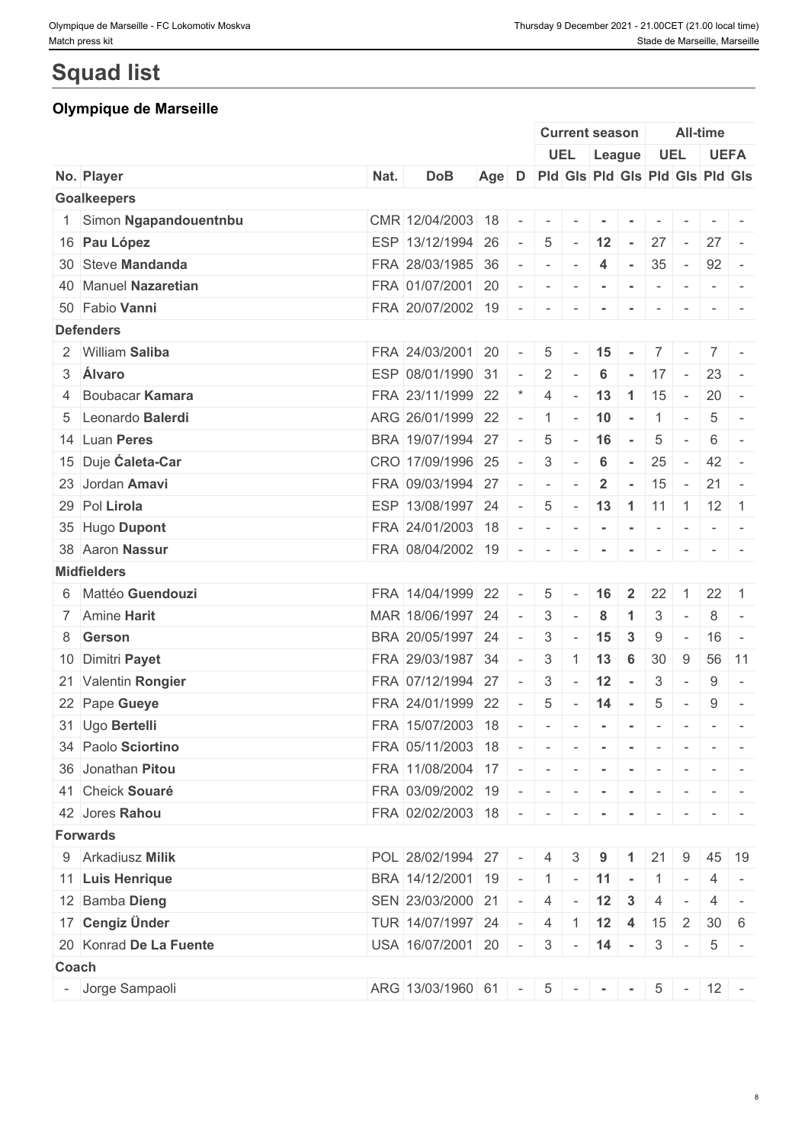# **Squad list**

## **Olympique de Marseille**

|       |                         |      |                                     |       |                          |                          | <b>Current season</b>                                  |                          |                          |                                                                                                             | <b>All-time</b> |                                                                                                                                                                                                                                                                                                                                                                                                                                                                                       |                                                                                                                           |
|-------|-------------------------|------|-------------------------------------|-------|--------------------------|--------------------------|--------------------------------------------------------|--------------------------|--------------------------|-------------------------------------------------------------------------------------------------------------|-----------------|---------------------------------------------------------------------------------------------------------------------------------------------------------------------------------------------------------------------------------------------------------------------------------------------------------------------------------------------------------------------------------------------------------------------------------------------------------------------------------------|---------------------------------------------------------------------------------------------------------------------------|
|       |                         |      |                                     |       |                          |                          | UEL League                                             |                          |                          | <b>UEL</b>                                                                                                  |                 | <b>UEFA</b>                                                                                                                                                                                                                                                                                                                                                                                                                                                                           |                                                                                                                           |
|       | No. Player              | Nat. | <b>DoB</b>                          | Age D |                          |                          | Pld Gls Pld Gls Pld Gls Pld Gls                        |                          |                          |                                                                                                             |                 |                                                                                                                                                                                                                                                                                                                                                                                                                                                                                       |                                                                                                                           |
|       | <b>Goalkeepers</b>      |      |                                     |       |                          |                          |                                                        |                          |                          |                                                                                                             |                 |                                                                                                                                                                                                                                                                                                                                                                                                                                                                                       |                                                                                                                           |
|       | 1 Simon Ngapandouentnbu |      | CMR 12/04/2003 18                   |       | $\sim$                   | $\sim$                   |                                                        |                          |                          |                                                                                                             |                 |                                                                                                                                                                                                                                                                                                                                                                                                                                                                                       |                                                                                                                           |
|       | 16 Pau López            |      | ESP 13/12/1994 26                   |       | $\sim$                   | $5\phantom{.0}$          | $-12$ $-$                                              |                          |                          | $27 -$                                                                                                      |                 | $27 -$                                                                                                                                                                                                                                                                                                                                                                                                                                                                                |                                                                                                                           |
|       | 30 Steve Mandanda       |      | FRA 28/03/1985 36                   |       | $\sim$                   | $\sim$                   |                                                        | $\overline{4}$           | $\sim$                   | 35                                                                                                          | $\sim$ $-$      | $92 -$                                                                                                                                                                                                                                                                                                                                                                                                                                                                                |                                                                                                                           |
|       | 40 Manuel Nazaretian    |      | FRA 01/07/2001 20                   |       | $\sim$                   | $\sim$                   |                                                        | $\blacksquare$           | $\sim$                   | $\sim$                                                                                                      | $\sim$          |                                                                                                                                                                                                                                                                                                                                                                                                                                                                                       |                                                                                                                           |
|       | 50 Fabio Vanni          |      | FRA 20/07/2002 19                   |       | $\sim$                   | $\sim$                   | $\sim$ 100 $\pm$                                       | $\sim$                   | $\sim$                   | $\sim$                                                                                                      | $\sim$          |                                                                                                                                                                                                                                                                                                                                                                                                                                                                                       | $\frac{1}{2} \left( \frac{1}{2} \right) \left( \frac{1}{2} \right) \left( \frac{1}{2} \right) \left( \frac{1}{2} \right)$ |
|       | <b>Defenders</b>        |      |                                     |       |                          |                          |                                                        |                          |                          |                                                                                                             |                 |                                                                                                                                                                                                                                                                                                                                                                                                                                                                                       |                                                                                                                           |
|       | 2 William Saliba        |      | FRA 24/03/2001                      | 20    | $\sim$                   | $5\overline{)}$          | $\sim$                                                 | 15                       | $\sim$ $-$               | 7 <sup>1</sup>                                                                                              | $\sim$          | $7 -$                                                                                                                                                                                                                                                                                                                                                                                                                                                                                 |                                                                                                                           |
|       | 3 Álvaro                |      | ESP 08/01/1990 31                   |       | $\sim$                   | $2 \mid$                 |                                                        | 6                        |                          | $-17$ $-$                                                                                                   |                 | $23 -$                                                                                                                                                                                                                                                                                                                                                                                                                                                                                |                                                                                                                           |
|       | 4 Boubacar Kamara       |      | FRA 23/11/1999 22                   |       |                          | 4                        | $\sim$                                                 | 13                       | $\vert$ 1                | 15                                                                                                          | $\sim$ $-$      | $20 -$                                                                                                                                                                                                                                                                                                                                                                                                                                                                                |                                                                                                                           |
|       | 5 Leonardo Balerdi      |      | ARG 26/01/1999 22                   |       | $\sim$                   | $\overline{1}$           | $\sim$                                                 | 10                       | $\sim$                   | $\overline{1}$                                                                                              | $\sim$          | 5                                                                                                                                                                                                                                                                                                                                                                                                                                                                                     |                                                                                                                           |
|       | 14 Luan Peres           |      | BRA 19/07/1994 27                   |       | $\sim$                   | $5\phantom{.0}$          | $\sim$                                                 | 16                       | <b>Contract</b>          | $5\overline{)}$                                                                                             | $\sim$          | 6                                                                                                                                                                                                                                                                                                                                                                                                                                                                                     | $\sim$                                                                                                                    |
|       | 15 Duje Caleta-Car      |      | CRO 17/09/1996 25                   |       |                          | 3                        |                                                        | 6                        | $\sim$                   | 25                                                                                                          | $\sim$          | $42 -$                                                                                                                                                                                                                                                                                                                                                                                                                                                                                |                                                                                                                           |
|       | 23 Jordan Amavi         |      | FRA 09/03/1994 27                   |       | $\sim$                   | $\overline{\phantom{a}}$ |                                                        | $\overline{2}$           | $\sim$                   | 15                                                                                                          | $\sim$          | $21 -$                                                                                                                                                                                                                                                                                                                                                                                                                                                                                |                                                                                                                           |
|       | 29 Pol Lirola           |      | ESP 13/08/1997 24                   |       | $\sim$ $-$               | $5\overline{)}$          | $\sim$                                                 | 13   1   11   1   12   1 |                          |                                                                                                             |                 |                                                                                                                                                                                                                                                                                                                                                                                                                                                                                       |                                                                                                                           |
|       | 35 Hugo Dupont          |      | FRA 24/01/2003 18                   |       | $\sim$                   | $\sim$                   | $\mathcal{L} = \{ \mathcal{L} \mid \mathcal{L} = 0 \}$ |                          | $\sim$                   | $\begin{array}{cccccccccc} \bullet & \bullet & \bullet & \bullet & \bullet & \bullet & \bullet \end{array}$ |                 | $\begin{array}{ccccccccccccc} \multicolumn{2}{c}{} & \multicolumn{2}{c}{} & \multicolumn{2}{c}{} & \multicolumn{2}{c}{} & \multicolumn{2}{c}{} & \multicolumn{2}{c}{} & \multicolumn{2}{c}{} & \multicolumn{2}{c}{} & \multicolumn{2}{c}{} & \multicolumn{2}{c}{} & \multicolumn{2}{c}{} & \multicolumn{2}{c}{} & \multicolumn{2}{c}{} & \multicolumn{2}{c}{} & \multicolumn{2}{c}{} & \multicolumn{2}{c}{} & \multicolumn{2}{c}{} & \multicolumn{2}{c}{} & \multicolumn{2}{c}{} & \$ |                                                                                                                           |
|       | 38 Aaron Nassur         |      | FRA 08/04/2002 19                   |       | $\sim$                   | $\sim$                   |                                                        |                          |                          |                                                                                                             |                 |                                                                                                                                                                                                                                                                                                                                                                                                                                                                                       |                                                                                                                           |
|       | <b>Midfielders</b>      |      |                                     |       |                          |                          |                                                        |                          |                          |                                                                                                             |                 |                                                                                                                                                                                                                                                                                                                                                                                                                                                                                       |                                                                                                                           |
|       | 6 Mattéo Guendouzi      |      | FRA 14/04/1999 22                   |       |                          | 5                        |                                                        | 16                       | $\overline{\mathbf{2}}$  | 22                                                                                                          |                 | $22 \mid 1$                                                                                                                                                                                                                                                                                                                                                                                                                                                                           |                                                                                                                           |
|       | 7 Amine Harit           |      | MAR 18/06/1997 24                   |       | $\sim$                   | 3                        |                                                        | 8                        | 1                        | 3                                                                                                           | $\sim$          | 8                                                                                                                                                                                                                                                                                                                                                                                                                                                                                     | $\sim$                                                                                                                    |
|       | 8 Gerson                |      | BRA 20/05/1997 24                   |       | $\overline{\phantom{a}}$ | 3                        |                                                        | 15                       | $\mathbf{3}$             | 9                                                                                                           | $\sim$          | $16 -$                                                                                                                                                                                                                                                                                                                                                                                                                                                                                |                                                                                                                           |
|       | 10 Dimitri Payet        |      | FRA 29/03/1987 34                   |       | $\overline{\phantom{a}}$ | 3                        |                                                        | 13                       | $6\phantom{1}6$          | 30                                                                                                          | 9               | 56 11                                                                                                                                                                                                                                                                                                                                                                                                                                                                                 |                                                                                                                           |
|       | 21 Valentin Rongier     |      | FRA 07/12/1994 27                   |       |                          | 3                        | $\sim$                                                 | 12                       | $\sim$                   | 3                                                                                                           | $\sim$          | 9                                                                                                                                                                                                                                                                                                                                                                                                                                                                                     | $\overline{a}$                                                                                                            |
|       | 22 Pape Gueye           |      | FRA 24/01/1999 22                   |       | $\sim$                   | 5                        | $\sim$                                                 | 14                       | $\sim$ $-$               | 5                                                                                                           | $\sim$          | 9                                                                                                                                                                                                                                                                                                                                                                                                                                                                                     | $\sim$                                                                                                                    |
|       | 31 Ugo Bertelli         |      | FRA 15/07/2003 18                   |       |                          | $\sim$                   |                                                        | $\sim$                   | $\sim$                   | $\sim$                                                                                                      | $\sim$          | $\sim$                                                                                                                                                                                                                                                                                                                                                                                                                                                                                |                                                                                                                           |
|       | 34 Paolo Sciortino      |      | FRA 05/11/2003 18 - - - - - - - - - |       |                          |                          |                                                        |                          |                          |                                                                                                             |                 |                                                                                                                                                                                                                                                                                                                                                                                                                                                                                       |                                                                                                                           |
|       | 36 Jonathan Pitou       |      | FRA 11/08/2004 17 -                 |       |                          |                          |                                                        |                          |                          |                                                                                                             |                 | $\mathcal{L}(\mathcal{L}(\mathcal{L}(\mathcal{L}(\mathcal{L}(\mathcal{L}(\mathcal{L}(\mathcal{L}(\mathcal{L}(\mathcal{L}(\mathcal{L}(\mathcal{L}(\mathcal{L}(\mathcal{L}(\mathcal{L}(\mathcal{L}(\mathcal{L}(\mathcal{L}(\mathcal{L}(\mathcal{L}(\mathcal{L}(\mathcal{L}(\mathcal{L}(\mathcal{L}(\mathcal{L}(\mathcal{L}(\mathcal{L}(\mathcal{L}(\mathcal{L}(\mathcal{L}(\mathcal{L}(\mathcal{L}(\mathcal{L}(\mathcal{L}(\mathcal{L}(\mathcal{L}(\mathcal{$                           |                                                                                                                           |
|       |                         |      |                                     |       |                          |                          | $\sim$                                                 | $\sim$ $-$               |                          |                                                                                                             |                 |                                                                                                                                                                                                                                                                                                                                                                                                                                                                                       |                                                                                                                           |
|       | 41 Cheick Souaré        |      | FRA 03/09/2002 19 - -               |       |                          |                          | $\sim$                                                 | $\sim$                   | $\sim$ - $\sim$ - $\sim$ |                                                                                                             | $\sim$          |                                                                                                                                                                                                                                                                                                                                                                                                                                                                                       |                                                                                                                           |
|       | 42 Jores Rahou          |      | FRA 02/02/2003 18 - - - -           |       |                          |                          |                                                        |                          | $\sim$                   | $\sim$                                                                                                      | $\sim$          |                                                                                                                                                                                                                                                                                                                                                                                                                                                                                       |                                                                                                                           |
|       | <b>Forwards</b>         |      |                                     |       |                          |                          |                                                        |                          |                          |                                                                                                             |                 |                                                                                                                                                                                                                                                                                                                                                                                                                                                                                       |                                                                                                                           |
|       | 9 Arkadiusz Milik       |      | POL 28/02/1994 27                   |       | $\sim$                   | 4                        | 3                                                      | 9                        |                          | 21                                                                                                          | 9               |                                                                                                                                                                                                                                                                                                                                                                                                                                                                                       | $45 \mid 19$                                                                                                              |
|       | 11 Luis Henrique        |      | BRA $14/12/2001$ 19 - 1 - 11 -      |       |                          |                          |                                                        |                          |                          | $1$ -                                                                                                       |                 |                                                                                                                                                                                                                                                                                                                                                                                                                                                                                       | $4$ -                                                                                                                     |
|       | 12 Bamba Dieng          |      | SEN 23/03/2000 21                   |       | $\sim$                   | $\overline{4}$           |                                                        | $-12$ 3                  |                          | $\overline{4}$                                                                                              | $\sim$          | $\overline{4}$                                                                                                                                                                                                                                                                                                                                                                                                                                                                        | $\sim$                                                                                                                    |
|       | 17 Cengiz Ünder         |      | TUR 14/07/1997 24                   |       | $\sim$                   |                          | $4 \mid 1 \mid 12 \mid 4 \mid 15$                      |                          |                          |                                                                                                             | $\overline{2}$  | $30 \mid 6$                                                                                                                                                                                                                                                                                                                                                                                                                                                                           |                                                                                                                           |
|       | 20 Konrad De La Fuente  |      | USA 16/07/2001 20 -                 |       |                          |                          | $3 - 14 -$                                             |                          |                          | $3 \mid -$                                                                                                  |                 | $5 -$                                                                                                                                                                                                                                                                                                                                                                                                                                                                                 |                                                                                                                           |
| Coach |                         |      |                                     |       |                          |                          |                                                        |                          |                          |                                                                                                             |                 |                                                                                                                                                                                                                                                                                                                                                                                                                                                                                       |                                                                                                                           |
|       | - Jorge Sampaoli        |      | ARG 13/03/1960 61 -                 |       |                          |                          | $5 - - -$                                              |                          |                          |                                                                                                             |                 | $5 - 12 -$                                                                                                                                                                                                                                                                                                                                                                                                                                                                            |                                                                                                                           |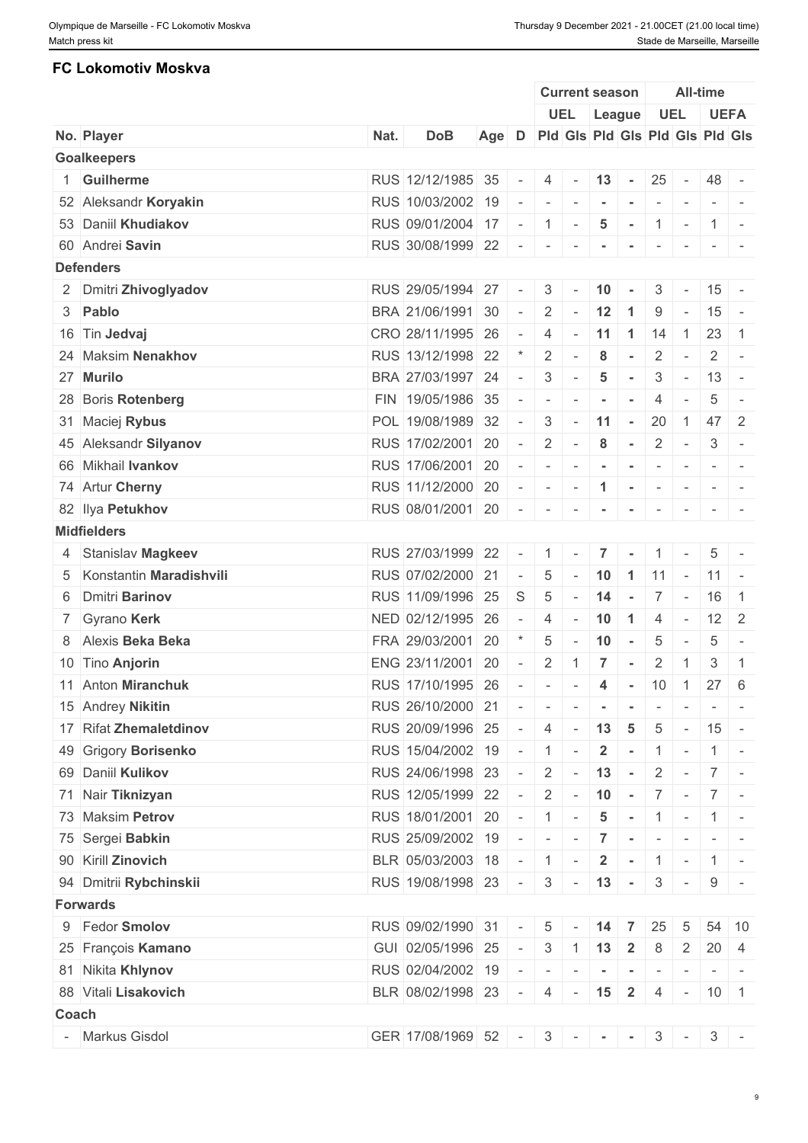### **FC Lokomotiv Moskva**

|                        |                                                                                                                                                                                                                                                                                                                                                                                                                                                                                                                             |            |                                                                                                                                                                                                                                                                                                                                                                                        |                                                                                                           |                                                                                                                    |                                                                 | All-time                                                                                                                    |                                                                                                                                                      |                                                                                                                                                                                                                                      |                                                                                                                                                                                                                                                                                               |                                                                                                                                                                                                                                                                                                                                                                                                                                                                                                                                                                                                                                                                                                                                                                                                                                                                                                                                                                                                                                                                                                 |
|------------------------|-----------------------------------------------------------------------------------------------------------------------------------------------------------------------------------------------------------------------------------------------------------------------------------------------------------------------------------------------------------------------------------------------------------------------------------------------------------------------------------------------------------------------------|------------|----------------------------------------------------------------------------------------------------------------------------------------------------------------------------------------------------------------------------------------------------------------------------------------------------------------------------------------------------------------------------------------|-----------------------------------------------------------------------------------------------------------|--------------------------------------------------------------------------------------------------------------------|-----------------------------------------------------------------|-----------------------------------------------------------------------------------------------------------------------------|------------------------------------------------------------------------------------------------------------------------------------------------------|--------------------------------------------------------------------------------------------------------------------------------------------------------------------------------------------------------------------------------------|-----------------------------------------------------------------------------------------------------------------------------------------------------------------------------------------------------------------------------------------------------------------------------------------------|-------------------------------------------------------------------------------------------------------------------------------------------------------------------------------------------------------------------------------------------------------------------------------------------------------------------------------------------------------------------------------------------------------------------------------------------------------------------------------------------------------------------------------------------------------------------------------------------------------------------------------------------------------------------------------------------------------------------------------------------------------------------------------------------------------------------------------------------------------------------------------------------------------------------------------------------------------------------------------------------------------------------------------------------------------------------------------------------------|
|                        |                                                                                                                                                                                                                                                                                                                                                                                                                                                                                                                             |            |                                                                                                                                                                                                                                                                                                                                                                                        |                                                                                                           |                                                                                                                    |                                                                 |                                                                                                                             |                                                                                                                                                      |                                                                                                                                                                                                                                      |                                                                                                                                                                                                                                                                                               | <b>UEFA</b>                                                                                                                                                                                                                                                                                                                                                                                                                                                                                                                                                                                                                                                                                                                                                                                                                                                                                                                                                                                                                                                                                     |
| No. Player             | Nat.                                                                                                                                                                                                                                                                                                                                                                                                                                                                                                                        | <b>DoB</b> |                                                                                                                                                                                                                                                                                                                                                                                        |                                                                                                           |                                                                                                                    |                                                                 |                                                                                                                             |                                                                                                                                                      |                                                                                                                                                                                                                                      |                                                                                                                                                                                                                                                                                               |                                                                                                                                                                                                                                                                                                                                                                                                                                                                                                                                                                                                                                                                                                                                                                                                                                                                                                                                                                                                                                                                                                 |
| <b>Goalkeepers</b>     |                                                                                                                                                                                                                                                                                                                                                                                                                                                                                                                             |            |                                                                                                                                                                                                                                                                                                                                                                                        |                                                                                                           |                                                                                                                    |                                                                 |                                                                                                                             |                                                                                                                                                      |                                                                                                                                                                                                                                      |                                                                                                                                                                                                                                                                                               |                                                                                                                                                                                                                                                                                                                                                                                                                                                                                                                                                                                                                                                                                                                                                                                                                                                                                                                                                                                                                                                                                                 |
| <b>Guilherme</b>       |                                                                                                                                                                                                                                                                                                                                                                                                                                                                                                                             |            |                                                                                                                                                                                                                                                                                                                                                                                        |                                                                                                           |                                                                                                                    |                                                                 |                                                                                                                             |                                                                                                                                                      |                                                                                                                                                                                                                                      | 48 -                                                                                                                                                                                                                                                                                          |                                                                                                                                                                                                                                                                                                                                                                                                                                                                                                                                                                                                                                                                                                                                                                                                                                                                                                                                                                                                                                                                                                 |
| 52 Aleksandr Koryakin  |                                                                                                                                                                                                                                                                                                                                                                                                                                                                                                                             |            | $\sim$                                                                                                                                                                                                                                                                                                                                                                                 |                                                                                                           |                                                                                                                    | $\sim$                                                          |                                                                                                                             |                                                                                                                                                      |                                                                                                                                                                                                                                      |                                                                                                                                                                                                                                                                                               |                                                                                                                                                                                                                                                                                                                                                                                                                                                                                                                                                                                                                                                                                                                                                                                                                                                                                                                                                                                                                                                                                                 |
| 53 Daniil Khudiakov    |                                                                                                                                                                                                                                                                                                                                                                                                                                                                                                                             |            |                                                                                                                                                                                                                                                                                                                                                                                        |                                                                                                           |                                                                                                                    | $5\phantom{.0}$                                                 |                                                                                                                             |                                                                                                                                                      |                                                                                                                                                                                                                                      |                                                                                                                                                                                                                                                                                               |                                                                                                                                                                                                                                                                                                                                                                                                                                                                                                                                                                                                                                                                                                                                                                                                                                                                                                                                                                                                                                                                                                 |
| 60 Andrei Savin        |                                                                                                                                                                                                                                                                                                                                                                                                                                                                                                                             |            |                                                                                                                                                                                                                                                                                                                                                                                        |                                                                                                           |                                                                                                                    |                                                                 |                                                                                                                             |                                                                                                                                                      |                                                                                                                                                                                                                                      |                                                                                                                                                                                                                                                                                               | $\mathcal{L} = \{ \mathcal{L} \mid \mathcal{L} = \mathcal{L} \}$                                                                                                                                                                                                                                                                                                                                                                                                                                                                                                                                                                                                                                                                                                                                                                                                                                                                                                                                                                                                                                |
| <b>Defenders</b>       |                                                                                                                                                                                                                                                                                                                                                                                                                                                                                                                             |            |                                                                                                                                                                                                                                                                                                                                                                                        |                                                                                                           |                                                                                                                    |                                                                 |                                                                                                                             |                                                                                                                                                      |                                                                                                                                                                                                                                      |                                                                                                                                                                                                                                                                                               |                                                                                                                                                                                                                                                                                                                                                                                                                                                                                                                                                                                                                                                                                                                                                                                                                                                                                                                                                                                                                                                                                                 |
|                        |                                                                                                                                                                                                                                                                                                                                                                                                                                                                                                                             |            | $\sim$                                                                                                                                                                                                                                                                                                                                                                                 |                                                                                                           |                                                                                                                    |                                                                 |                                                                                                                             |                                                                                                                                                      |                                                                                                                                                                                                                                      | $15 -$                                                                                                                                                                                                                                                                                        |                                                                                                                                                                                                                                                                                                                                                                                                                                                                                                                                                                                                                                                                                                                                                                                                                                                                                                                                                                                                                                                                                                 |
|                        |                                                                                                                                                                                                                                                                                                                                                                                                                                                                                                                             |            |                                                                                                                                                                                                                                                                                                                                                                                        |                                                                                                           |                                                                                                                    |                                                                 |                                                                                                                             |                                                                                                                                                      |                                                                                                                                                                                                                                      | $15 -$                                                                                                                                                                                                                                                                                        |                                                                                                                                                                                                                                                                                                                                                                                                                                                                                                                                                                                                                                                                                                                                                                                                                                                                                                                                                                                                                                                                                                 |
|                        |                                                                                                                                                                                                                                                                                                                                                                                                                                                                                                                             |            | $\sim$                                                                                                                                                                                                                                                                                                                                                                                 |                                                                                                           |                                                                                                                    |                                                                 |                                                                                                                             |                                                                                                                                                      |                                                                                                                                                                                                                                      |                                                                                                                                                                                                                                                                                               |                                                                                                                                                                                                                                                                                                                                                                                                                                                                                                                                                                                                                                                                                                                                                                                                                                                                                                                                                                                                                                                                                                 |
|                        |                                                                                                                                                                                                                                                                                                                                                                                                                                                                                                                             |            | $\star$                                                                                                                                                                                                                                                                                                                                                                                |                                                                                                           |                                                                                                                    |                                                                 |                                                                                                                             |                                                                                                                                                      |                                                                                                                                                                                                                                      |                                                                                                                                                                                                                                                                                               | $2$ -                                                                                                                                                                                                                                                                                                                                                                                                                                                                                                                                                                                                                                                                                                                                                                                                                                                                                                                                                                                                                                                                                           |
|                        |                                                                                                                                                                                                                                                                                                                                                                                                                                                                                                                             |            |                                                                                                                                                                                                                                                                                                                                                                                        |                                                                                                           |                                                                                                                    |                                                                 |                                                                                                                             |                                                                                                                                                      |                                                                                                                                                                                                                                      |                                                                                                                                                                                                                                                                                               |                                                                                                                                                                                                                                                                                                                                                                                                                                                                                                                                                                                                                                                                                                                                                                                                                                                                                                                                                                                                                                                                                                 |
|                        |                                                                                                                                                                                                                                                                                                                                                                                                                                                                                                                             |            |                                                                                                                                                                                                                                                                                                                                                                                        |                                                                                                           |                                                                                                                    |                                                                 |                                                                                                                             |                                                                                                                                                      |                                                                                                                                                                                                                                      |                                                                                                                                                                                                                                                                                               | $\sim$                                                                                                                                                                                                                                                                                                                                                                                                                                                                                                                                                                                                                                                                                                                                                                                                                                                                                                                                                                                                                                                                                          |
|                        |                                                                                                                                                                                                                                                                                                                                                                                                                                                                                                                             |            |                                                                                                                                                                                                                                                                                                                                                                                        |                                                                                                           |                                                                                                                    |                                                                 |                                                                                                                             |                                                                                                                                                      |                                                                                                                                                                                                                                      |                                                                                                                                                                                                                                                                                               |                                                                                                                                                                                                                                                                                                                                                                                                                                                                                                                                                                                                                                                                                                                                                                                                                                                                                                                                                                                                                                                                                                 |
|                        |                                                                                                                                                                                                                                                                                                                                                                                                                                                                                                                             |            |                                                                                                                                                                                                                                                                                                                                                                                        |                                                                                                           |                                                                                                                    |                                                                 |                                                                                                                             |                                                                                                                                                      |                                                                                                                                                                                                                                      |                                                                                                                                                                                                                                                                                               |                                                                                                                                                                                                                                                                                                                                                                                                                                                                                                                                                                                                                                                                                                                                                                                                                                                                                                                                                                                                                                                                                                 |
|                        |                                                                                                                                                                                                                                                                                                                                                                                                                                                                                                                             |            |                                                                                                                                                                                                                                                                                                                                                                                        |                                                                                                           |                                                                                                                    |                                                                 |                                                                                                                             |                                                                                                                                                      |                                                                                                                                                                                                                                      |                                                                                                                                                                                                                                                                                               |                                                                                                                                                                                                                                                                                                                                                                                                                                                                                                                                                                                                                                                                                                                                                                                                                                                                                                                                                                                                                                                                                                 |
|                        |                                                                                                                                                                                                                                                                                                                                                                                                                                                                                                                             |            |                                                                                                                                                                                                                                                                                                                                                                                        |                                                                                                           |                                                                                                                    |                                                                 |                                                                                                                             |                                                                                                                                                      |                                                                                                                                                                                                                                      |                                                                                                                                                                                                                                                                                               |                                                                                                                                                                                                                                                                                                                                                                                                                                                                                                                                                                                                                                                                                                                                                                                                                                                                                                                                                                                                                                                                                                 |
|                        |                                                                                                                                                                                                                                                                                                                                                                                                                                                                                                                             |            |                                                                                                                                                                                                                                                                                                                                                                                        |                                                                                                           |                                                                                                                    |                                                                 |                                                                                                                             |                                                                                                                                                      |                                                                                                                                                                                                                                      |                                                                                                                                                                                                                                                                                               |                                                                                                                                                                                                                                                                                                                                                                                                                                                                                                                                                                                                                                                                                                                                                                                                                                                                                                                                                                                                                                                                                                 |
|                        |                                                                                                                                                                                                                                                                                                                                                                                                                                                                                                                             |            |                                                                                                                                                                                                                                                                                                                                                                                        |                                                                                                           |                                                                                                                    |                                                                 |                                                                                                                             |                                                                                                                                                      |                                                                                                                                                                                                                                      |                                                                                                                                                                                                                                                                                               |                                                                                                                                                                                                                                                                                                                                                                                                                                                                                                                                                                                                                                                                                                                                                                                                                                                                                                                                                                                                                                                                                                 |
|                        |                                                                                                                                                                                                                                                                                                                                                                                                                                                                                                                             |            |                                                                                                                                                                                                                                                                                                                                                                                        |                                                                                                           |                                                                                                                    |                                                                 |                                                                                                                             |                                                                                                                                                      |                                                                                                                                                                                                                                      |                                                                                                                                                                                                                                                                                               |                                                                                                                                                                                                                                                                                                                                                                                                                                                                                                                                                                                                                                                                                                                                                                                                                                                                                                                                                                                                                                                                                                 |
|                        |                                                                                                                                                                                                                                                                                                                                                                                                                                                                                                                             |            |                                                                                                                                                                                                                                                                                                                                                                                        |                                                                                                           |                                                                                                                    |                                                                 |                                                                                                                             |                                                                                                                                                      |                                                                                                                                                                                                                                      |                                                                                                                                                                                                                                                                                               |                                                                                                                                                                                                                                                                                                                                                                                                                                                                                                                                                                                                                                                                                                                                                                                                                                                                                                                                                                                                                                                                                                 |
|                        |                                                                                                                                                                                                                                                                                                                                                                                                                                                                                                                             |            |                                                                                                                                                                                                                                                                                                                                                                                        |                                                                                                           |                                                                                                                    |                                                                 |                                                                                                                             |                                                                                                                                                      |                                                                                                                                                                                                                                      |                                                                                                                                                                                                                                                                                               |                                                                                                                                                                                                                                                                                                                                                                                                                                                                                                                                                                                                                                                                                                                                                                                                                                                                                                                                                                                                                                                                                                 |
|                        |                                                                                                                                                                                                                                                                                                                                                                                                                                                                                                                             |            | S                                                                                                                                                                                                                                                                                                                                                                                      | $5\overline{)}$                                                                                           | $\sim$                                                                                                             |                                                                 |                                                                                                                             |                                                                                                                                                      |                                                                                                                                                                                                                                      | $16 \mid 1$                                                                                                                                                                                                                                                                                   |                                                                                                                                                                                                                                                                                                                                                                                                                                                                                                                                                                                                                                                                                                                                                                                                                                                                                                                                                                                                                                                                                                 |
| 7 Gyrano Kerk          |                                                                                                                                                                                                                                                                                                                                                                                                                                                                                                                             |            | $\sim$                                                                                                                                                                                                                                                                                                                                                                                 |                                                                                                           |                                                                                                                    |                                                                 |                                                                                                                             |                                                                                                                                                      |                                                                                                                                                                                                                                      |                                                                                                                                                                                                                                                                                               |                                                                                                                                                                                                                                                                                                                                                                                                                                                                                                                                                                                                                                                                                                                                                                                                                                                                                                                                                                                                                                                                                                 |
| 8 Alexis Beka Beka     |                                                                                                                                                                                                                                                                                                                                                                                                                                                                                                                             |            |                                                                                                                                                                                                                                                                                                                                                                                        | 5                                                                                                         |                                                                                                                    |                                                                 | $\sim$ $-$                                                                                                                  | 5                                                                                                                                                    | $\sim$ $-$                                                                                                                                                                                                                           | 5                                                                                                                                                                                                                                                                                             |                                                                                                                                                                                                                                                                                                                                                                                                                                                                                                                                                                                                                                                                                                                                                                                                                                                                                                                                                                                                                                                                                                 |
| 10 Tino Anjorin        |                                                                                                                                                                                                                                                                                                                                                                                                                                                                                                                             |            | $\sim$ $-$                                                                                                                                                                                                                                                                                                                                                                             |                                                                                                           |                                                                                                                    |                                                                 |                                                                                                                             | 2                                                                                                                                                    | $\overline{1}$                                                                                                                                                                                                                       | 3                                                                                                                                                                                                                                                                                             | $\overline{1}$                                                                                                                                                                                                                                                                                                                                                                                                                                                                                                                                                                                                                                                                                                                                                                                                                                                                                                                                                                                                                                                                                  |
| 11 Anton Miranchuk     |                                                                                                                                                                                                                                                                                                                                                                                                                                                                                                                             |            |                                                                                                                                                                                                                                                                                                                                                                                        |                                                                                                           |                                                                                                                    |                                                                 |                                                                                                                             |                                                                                                                                                      |                                                                                                                                                                                                                                      |                                                                                                                                                                                                                                                                                               |                                                                                                                                                                                                                                                                                                                                                                                                                                                                                                                                                                                                                                                                                                                                                                                                                                                                                                                                                                                                                                                                                                 |
| 15 Andrey Nikitin      |                                                                                                                                                                                                                                                                                                                                                                                                                                                                                                                             |            |                                                                                                                                                                                                                                                                                                                                                                                        |                                                                                                           |                                                                                                                    |                                                                 |                                                                                                                             |                                                                                                                                                      |                                                                                                                                                                                                                                      |                                                                                                                                                                                                                                                                                               |                                                                                                                                                                                                                                                                                                                                                                                                                                                                                                                                                                                                                                                                                                                                                                                                                                                                                                                                                                                                                                                                                                 |
| 17 Rifat Zhemaletdinov |                                                                                                                                                                                                                                                                                                                                                                                                                                                                                                                             |            |                                                                                                                                                                                                                                                                                                                                                                                        |                                                                                                           |                                                                                                                    |                                                                 |                                                                                                                             |                                                                                                                                                      |                                                                                                                                                                                                                                      |                                                                                                                                                                                                                                                                                               |                                                                                                                                                                                                                                                                                                                                                                                                                                                                                                                                                                                                                                                                                                                                                                                                                                                                                                                                                                                                                                                                                                 |
| 49 Grigory Borisenko   |                                                                                                                                                                                                                                                                                                                                                                                                                                                                                                                             |            |                                                                                                                                                                                                                                                                                                                                                                                        |                                                                                                           |                                                                                                                    |                                                                 |                                                                                                                             |                                                                                                                                                      |                                                                                                                                                                                                                                      |                                                                                                                                                                                                                                                                                               |                                                                                                                                                                                                                                                                                                                                                                                                                                                                                                                                                                                                                                                                                                                                                                                                                                                                                                                                                                                                                                                                                                 |
| 69 Daniil Kulikov      |                                                                                                                                                                                                                                                                                                                                                                                                                                                                                                                             |            |                                                                                                                                                                                                                                                                                                                                                                                        |                                                                                                           |                                                                                                                    |                                                                 |                                                                                                                             |                                                                                                                                                      |                                                                                                                                                                                                                                      |                                                                                                                                                                                                                                                                                               |                                                                                                                                                                                                                                                                                                                                                                                                                                                                                                                                                                                                                                                                                                                                                                                                                                                                                                                                                                                                                                                                                                 |
|                        |                                                                                                                                                                                                                                                                                                                                                                                                                                                                                                                             |            |                                                                                                                                                                                                                                                                                                                                                                                        |                                                                                                           |                                                                                                                    |                                                                 |                                                                                                                             |                                                                                                                                                      |                                                                                                                                                                                                                                      |                                                                                                                                                                                                                                                                                               |                                                                                                                                                                                                                                                                                                                                                                                                                                                                                                                                                                                                                                                                                                                                                                                                                                                                                                                                                                                                                                                                                                 |
| 73 Maksim Petrov       |                                                                                                                                                                                                                                                                                                                                                                                                                                                                                                                             |            |                                                                                                                                                                                                                                                                                                                                                                                        |                                                                                                           |                                                                                                                    |                                                                 |                                                                                                                             |                                                                                                                                                      |                                                                                                                                                                                                                                      |                                                                                                                                                                                                                                                                                               |                                                                                                                                                                                                                                                                                                                                                                                                                                                                                                                                                                                                                                                                                                                                                                                                                                                                                                                                                                                                                                                                                                 |
|                        |                                                                                                                                                                                                                                                                                                                                                                                                                                                                                                                             |            |                                                                                                                                                                                                                                                                                                                                                                                        |                                                                                                           |                                                                                                                    |                                                                 |                                                                                                                             |                                                                                                                                                      |                                                                                                                                                                                                                                      |                                                                                                                                                                                                                                                                                               |                                                                                                                                                                                                                                                                                                                                                                                                                                                                                                                                                                                                                                                                                                                                                                                                                                                                                                                                                                                                                                                                                                 |
|                        |                                                                                                                                                                                                                                                                                                                                                                                                                                                                                                                             |            |                                                                                                                                                                                                                                                                                                                                                                                        |                                                                                                           |                                                                                                                    |                                                                 |                                                                                                                             |                                                                                                                                                      |                                                                                                                                                                                                                                      |                                                                                                                                                                                                                                                                                               |                                                                                                                                                                                                                                                                                                                                                                                                                                                                                                                                                                                                                                                                                                                                                                                                                                                                                                                                                                                                                                                                                                 |
|                        |                                                                                                                                                                                                                                                                                                                                                                                                                                                                                                                             |            |                                                                                                                                                                                                                                                                                                                                                                                        |                                                                                                           |                                                                                                                    |                                                                 |                                                                                                                             |                                                                                                                                                      |                                                                                                                                                                                                                                      |                                                                                                                                                                                                                                                                                               |                                                                                                                                                                                                                                                                                                                                                                                                                                                                                                                                                                                                                                                                                                                                                                                                                                                                                                                                                                                                                                                                                                 |
|                        |                                                                                                                                                                                                                                                                                                                                                                                                                                                                                                                             |            |                                                                                                                                                                                                                                                                                                                                                                                        |                                                                                                           |                                                                                                                    |                                                                 |                                                                                                                             |                                                                                                                                                      |                                                                                                                                                                                                                                      |                                                                                                                                                                                                                                                                                               |                                                                                                                                                                                                                                                                                                                                                                                                                                                                                                                                                                                                                                                                                                                                                                                                                                                                                                                                                                                                                                                                                                 |
|                        |                                                                                                                                                                                                                                                                                                                                                                                                                                                                                                                             |            |                                                                                                                                                                                                                                                                                                                                                                                        |                                                                                                           |                                                                                                                    |                                                                 |                                                                                                                             |                                                                                                                                                      |                                                                                                                                                                                                                                      |                                                                                                                                                                                                                                                                                               |                                                                                                                                                                                                                                                                                                                                                                                                                                                                                                                                                                                                                                                                                                                                                                                                                                                                                                                                                                                                                                                                                                 |
|                        |                                                                                                                                                                                                                                                                                                                                                                                                                                                                                                                             |            |                                                                                                                                                                                                                                                                                                                                                                                        |                                                                                                           |                                                                                                                    |                                                                 |                                                                                                                             |                                                                                                                                                      |                                                                                                                                                                                                                                      |                                                                                                                                                                                                                                                                                               |                                                                                                                                                                                                                                                                                                                                                                                                                                                                                                                                                                                                                                                                                                                                                                                                                                                                                                                                                                                                                                                                                                 |
|                        |                                                                                                                                                                                                                                                                                                                                                                                                                                                                                                                             |            |                                                                                                                                                                                                                                                                                                                                                                                        |                                                                                                           |                                                                                                                    |                                                                 |                                                                                                                             |                                                                                                                                                      |                                                                                                                                                                                                                                      |                                                                                                                                                                                                                                                                                               |                                                                                                                                                                                                                                                                                                                                                                                                                                                                                                                                                                                                                                                                                                                                                                                                                                                                                                                                                                                                                                                                                                 |
|                        |                                                                                                                                                                                                                                                                                                                                                                                                                                                                                                                             |            |                                                                                                                                                                                                                                                                                                                                                                                        |                                                                                                           |                                                                                                                    |                                                                 |                                                                                                                             |                                                                                                                                                      |                                                                                                                                                                                                                                      |                                                                                                                                                                                                                                                                                               |                                                                                                                                                                                                                                                                                                                                                                                                                                                                                                                                                                                                                                                                                                                                                                                                                                                                                                                                                                                                                                                                                                 |
|                        |                                                                                                                                                                                                                                                                                                                                                                                                                                                                                                                             |            |                                                                                                                                                                                                                                                                                                                                                                                        |                                                                                                           |                                                                                                                    |                                                                 |                                                                                                                             |                                                                                                                                                      |                                                                                                                                                                                                                                      |                                                                                                                                                                                                                                                                                               |                                                                                                                                                                                                                                                                                                                                                                                                                                                                                                                                                                                                                                                                                                                                                                                                                                                                                                                                                                                                                                                                                                 |
|                        |                                                                                                                                                                                                                                                                                                                                                                                                                                                                                                                             |            |                                                                                                                                                                                                                                                                                                                                                                                        |                                                                                                           |                                                                                                                    |                                                                 |                                                                                                                             |                                                                                                                                                      |                                                                                                                                                                                                                                      |                                                                                                                                                                                                                                                                                               |                                                                                                                                                                                                                                                                                                                                                                                                                                                                                                                                                                                                                                                                                                                                                                                                                                                                                                                                                                                                                                                                                                 |
| - Markus Gisdol        |                                                                                                                                                                                                                                                                                                                                                                                                                                                                                                                             |            |                                                                                                                                                                                                                                                                                                                                                                                        |                                                                                                           |                                                                                                                    |                                                                 |                                                                                                                             |                                                                                                                                                      |                                                                                                                                                                                                                                      |                                                                                                                                                                                                                                                                                               | $3 -$                                                                                                                                                                                                                                                                                                                                                                                                                                                                                                                                                                                                                                                                                                                                                                                                                                                                                                                                                                                                                                                                                           |
|                        | 2 Dmitri Zhivoglyadov<br>3 Pablo<br>16 Tin Jedvaj<br>24 Maksim Nenakhov<br>27 Murilo<br>28 Boris Rotenberg<br>31 Maciej Rybus<br>45 Aleksandr Silyanov<br>66 Mikhail Ivankov<br>74 Artur Cherny<br>82 Ilya Petukhov<br><b>Midfielders</b><br>4 Stanislav Magkeev<br>5 Konstantin Maradishvili<br>6 Dmitri Barinov<br>71 Nair Tiknizyan<br>75 Sergei Babkin<br>90 Kirill Zinovich<br>94 Dmitrii Rybchinskii<br><b>Forwards</b><br>9 Fedor Smolov<br>25 François Kamano<br>81 Nikita Khlynov<br>88 Vitali Lisakovich<br>Coach |            | RUS 12/12/1985 35<br>RUS 10/03/2002 19<br>RUS 09/01/2004 17<br>RUS 29/05/1994 27<br>CRO 28/11/1995 26<br>RUS 13/12/1998 22<br>BRA 27/03/1997 24<br>FIN 19/05/1986 35<br>POL 19/08/1989 32<br>RUS 11/12/2000 20<br>RUS 11/09/1996 25<br>NED 02/12/1995 26<br>FRA 29/03/2001 20<br>ENG 23/11/2001 20<br>RUS 20/09/1996 25<br>RUS 24/06/1998 23<br>GUI 02/05/1996 25<br>RUS 02/04/2002 19 | BRA 21/06/1991 30 -<br>$\sim$<br>$\sim$<br>$\sim$<br>RUS 17/02/2001 20 -<br>RUS 09/02/1990 31 -<br>$\sim$ | $-1$<br>$\sim$<br>RUS 07/02/2000 21 -<br>$\sim$ $\sim$ $\sim$ $\sim$<br>BLR 08/02/1998 23 -<br>GER 17/08/1969 52 - | $-1$ $-$<br>$3 -$<br>$2$ -<br>$2$ -<br>$3 -$<br>$2$ -<br>$\sim$ | $\mathcal{L} = \mathcal{L}$<br>8<br>$5\phantom{.0}$<br>$    -$<br>8<br>RUS 08/01/2001 20 - - - -<br>RUS 15/04/2002 19 - 1 - | <b>Current season</b><br>$\vert$ 10 $\vert$ -<br>$\sim$<br>$\sim$<br>$\sim$<br>$\sim$<br>10<br>$2 \mid 1 \mid 7 \mid -$<br>$3 \mid 1 \mid 13 \mid 2$ | UEL League<br><b>Contract</b><br>$12 \quad 1$<br>9<br>$4 - 11$ 1 1 4<br>$\overline{2}$<br>$\mathcal{S}$<br>$\overline{4}$<br>$3 - 11 - 20$<br>$\sim$ $\sim$<br>$\sim$<br>$14 -$<br>$4 - 13$ 5<br>8<br>.<br>$4 - 15$ 2<br>$3 - 1 - 1$ | <b>UEL</b><br>$1$ $-$<br>RUS 30/08/1999 22 - - - - - - - -<br>$3 -$<br>$\sim$<br>$\sim$<br>$\sim$<br>$\sim$<br>$2$ -<br>RUS 17/06/2001 20 - - - - - - - -<br>$    1$ $   -$<br>RUS 27/03/1999 22 - 1 - 7 - 1 -<br>$7 -$<br>RUS 26/10/2000 21 - - - - - - - - -<br>$5 - 14$ 7 25<br>5<br>$3 -$ | Age D Pid Gis Pid Gis Pid Gis Pid Gis<br>$4$ - 13 - 25 -<br>$11 -$<br>$23 \mid 1$<br>$\sqrt{1}$<br>$13 -$<br>5<br>$1 \mid 47 \mid 2$<br>3<br>$- - - - -$<br>$\begin{array}{ccccccccccccc} \multicolumn{2}{c}{} & \multicolumn{2}{c}{} & \multicolumn{2}{c}{} & \multicolumn{2}{c}{} & \multicolumn{2}{c}{} & \multicolumn{2}{c}{} & \multicolumn{2}{c}{} & \multicolumn{2}{c}{} & \multicolumn{2}{c}{} & \multicolumn{2}{c}{} & \multicolumn{2}{c}{} & \multicolumn{2}{c}{} & \multicolumn{2}{c}{} & \multicolumn{2}{c}{} & \multicolumn{2}{c}{} & \multicolumn{2}{c}{} & \multicolumn{2}{c}{} & \multicolumn{2}{c}{} & \multicolumn{2}{c}{} & \$<br>$5$ -<br>$5$ - 10 1 11 - 11 -<br>$4$ - 10 1 4 - 12 2<br>RUS 17/10/1995 26 - - - - 4 - 10 1 27 6<br>$5 - 15 -$<br>$2$ - 1 - 1 -<br>$ - 2  -  13  -  2  -  7  -$<br>RUS $12/05/1999$ 22 - 2 - 10 - 7 - 7 -<br>RUS 18/01/2001 20 - 1 - 5 - 1 - 1 - 1 -<br>RUS 25/09/2002 19 - - - 7 - 7 - - -<br>BLR 05/03/2003 18 - 1 - 2 - 1 - 1 - 1<br>RUS 19/08/1998 23 - 3 - 13 - 3 - 9 -<br>$54 \mid 10$<br>$20 \mid 4$<br>$\overline{2}$<br>$4 - 10$ 1 |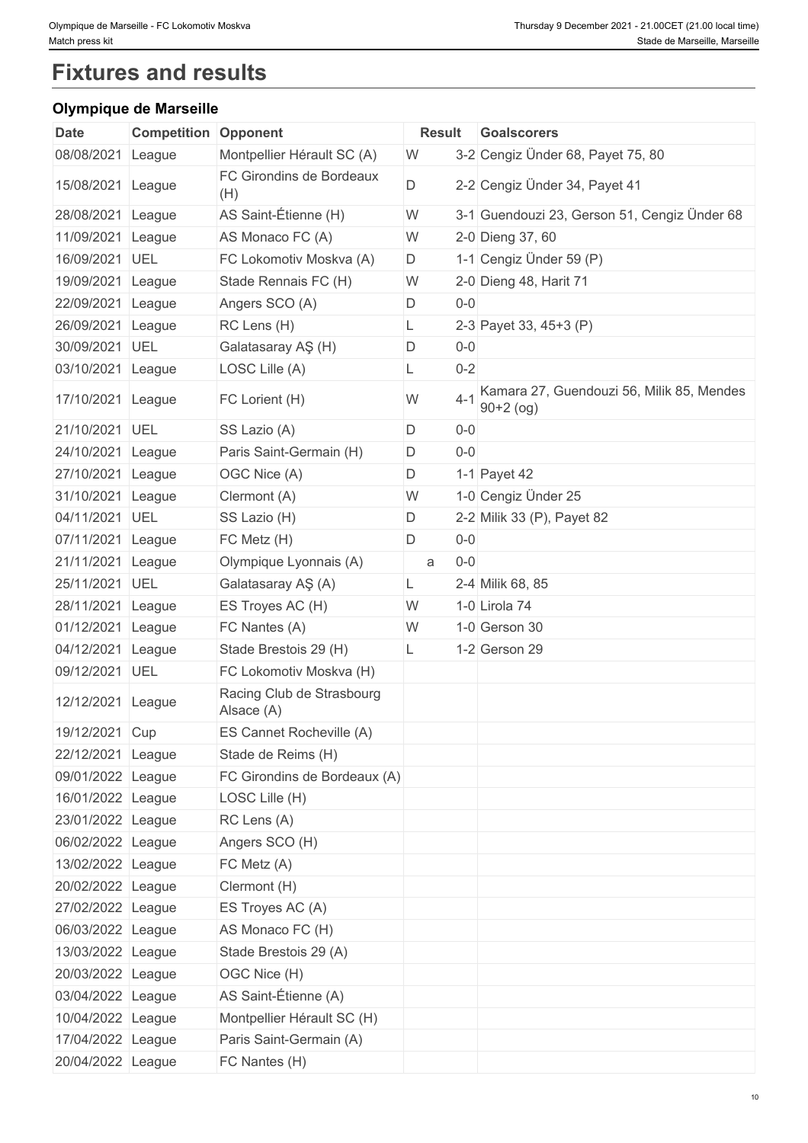# **Fixtures and results**

### **Olympique de Marseille**

|                   | organ wa wa maroomo         |                                         |        |                                                                     |
|-------------------|-----------------------------|-----------------------------------------|--------|---------------------------------------------------------------------|
| <b>Date</b>       | <b>Competition Opponent</b> |                                         | Result | <b>Goalscorers</b>                                                  |
| 08/08/2021        | League                      | Montpellier Hérault SC (A)              | W      | 3-2 Cengiz Ünder 68, Payet 75, 80                                   |
| 15/08/2021 League |                             | FC Girondins de Bordeaux<br>(H)         | D      | 2-2 Cengiz Ünder 34, Payet 41                                       |
| 28/08/2021        | League                      | AS Saint-Étienne (H)                    | W      | 3-1 Guendouzi 23, Gerson 51, Cengiz Ünder 68                        |
| 11/09/2021        | League                      | AS Monaco FC (A)                        | W      | 2-0 Dieng 37, 60                                                    |
| 16/09/2021        | UEL                         | FC Lokomotiv Moskva (A)                 | D      | 1-1 Cengiz Ünder 59 (P)                                             |
| 19/09/2021        | League                      | Stade Rennais FC (H)                    | W      | 2-0 Dieng 48, Harit 71                                              |
| 22/09/2021        | League                      | Angers SCO (A)                          | D      | $0-0$                                                               |
| 26/09/2021        | League                      | RC Lens (H)                             | L      | 2-3 Payet 33, 45+3 (P)                                              |
| 30/09/2021        | UEL                         | Galatasaray AŞ (H)                      | D      | $0-0$                                                               |
| 03/10/2021        | League                      | LOSC Lille (A)                          |        | $0 - 2$                                                             |
| 17/10/2021 League |                             | FC Lorient (H)                          | W      | Kamara 27, Guendouzi 56, Milik 85, Mendes<br>$4 - 1$<br>$90+2$ (og) |
| 21/10/2021 UEL    |                             | SS Lazio (A)                            | D      | $0-0$                                                               |
| 24/10/2021        | League                      | Paris Saint-Germain (H)                 | D      | $0-0$                                                               |
| 27/10/2021        | League                      | OGC Nice (A)                            | D      | 1-1 Payet 42                                                        |
| 31/10/2021        | League                      | Clermont (A)                            | W      | 1-0 Cengiz Ünder 25                                                 |
| 04/11/2021        | UEL                         | SS Lazio (H)                            | D      | 2-2 Milik 33 (P), Payet 82                                          |
| 07/11/2021        | League                      | FC Metz (H)                             | D      | $0-0$                                                               |
| 21/11/2021        | League                      | Olympique Lyonnais (A)                  | a      | $0-0$                                                               |
| 25/11/2021        | UEL                         | Galatasaray AŞ (A)                      | L.     | 2-4 Milik 68, 85                                                    |
| 28/11/2021        | League                      | ES Troyes AC (H)                        | W      | 1-0 Lirola 74                                                       |
| 01/12/2021        | League                      | FC Nantes (A)                           | W      | 1-0 Gerson 30                                                       |
| 04/12/2021        | League                      | Stade Brestois 29 (H)                   | L      | 1-2 Gerson 29                                                       |
| 09/12/2021 UEL    |                             | FC Lokomotiv Moskva (H)                 |        |                                                                     |
| 12/12/2021 League |                             | Racing Club de Strasbourg<br>Alsace (A) |        |                                                                     |
| 19/12/2021 Cup    |                             | ES Cannet Rocheville (A)                |        |                                                                     |
| 22/12/2021 League |                             | Stade de Reims (H)                      |        |                                                                     |
| 09/01/2022 League |                             | FC Girondins de Bordeaux (A)            |        |                                                                     |
| 16/01/2022 League |                             | LOSC Lille (H)                          |        |                                                                     |
| 23/01/2022 League |                             | RC Lens (A)                             |        |                                                                     |
| 06/02/2022 League |                             | Angers SCO (H)                          |        |                                                                     |
| 13/02/2022 League |                             | FC Metz (A)                             |        |                                                                     |
| 20/02/2022 League |                             | Clermont (H)                            |        |                                                                     |
| 27/02/2022 League |                             | ES Troyes AC (A)                        |        |                                                                     |
| 06/03/2022 League |                             | AS Monaco FC (H)                        |        |                                                                     |
| 13/03/2022 League |                             | Stade Brestois 29 (A)                   |        |                                                                     |
| 20/03/2022 League |                             | OGC Nice (H)                            |        |                                                                     |
| 03/04/2022 League |                             | AS Saint-Étienne (A)                    |        |                                                                     |
| 10/04/2022 League |                             |                                         |        |                                                                     |
|                   |                             | Montpellier Hérault SC (H)              |        |                                                                     |
| 17/04/2022 League |                             | Paris Saint-Germain (A)                 |        |                                                                     |
| 20/04/2022 League |                             | FC Nantes (H)                           |        |                                                                     |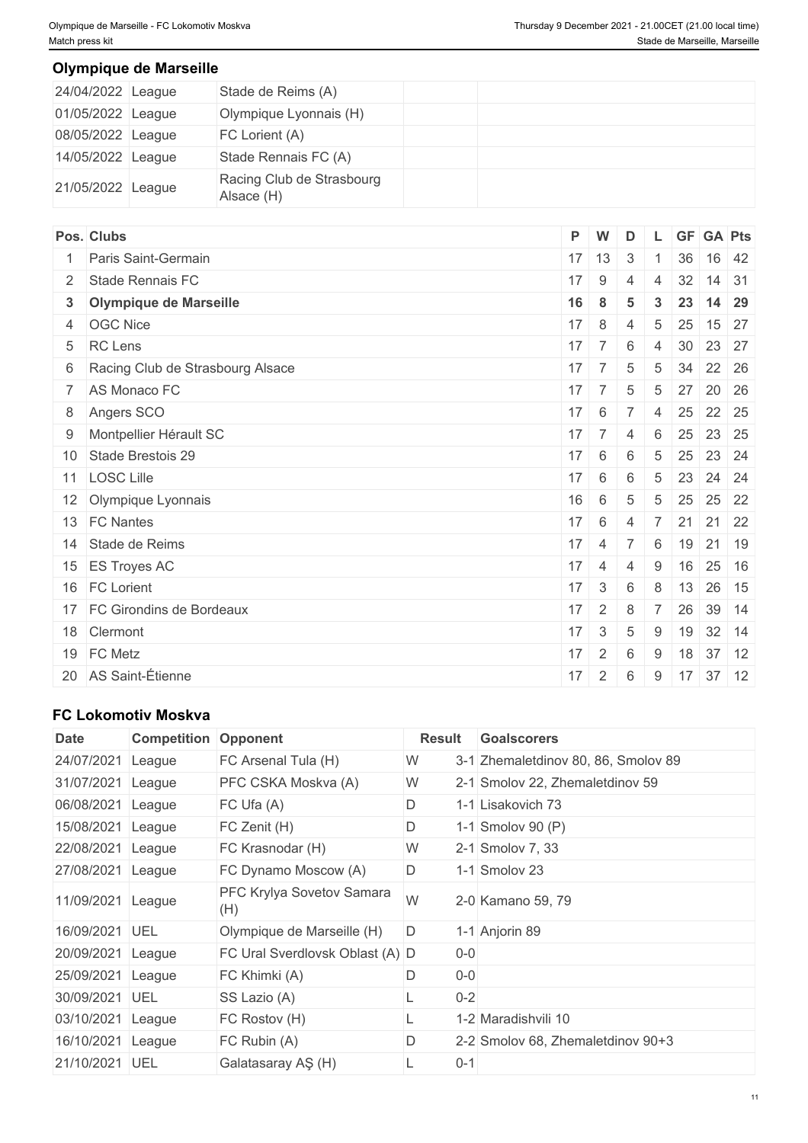### **Olympique de Marseille**

| 24/04/2022 League | Stade de Reims (A)                      |  |  |  |
|-------------------|-----------------------------------------|--|--|--|
| 01/05/2022 League | Olympique Lyonnais (H)                  |  |  |  |
| 08/05/2022 League | FC Lorient (A)                          |  |  |  |
| 14/05/2022 League | Stade Rennais FC (A)                    |  |  |  |
| 21/05/2022 League | Racing Club de Strasbourg<br>Alsace (H) |  |  |  |

| Pos. Clubs                         | $P$ W        |                  | D                       |                 |       | L GF GA Pts                       |
|------------------------------------|--------------|------------------|-------------------------|-----------------|-------|-----------------------------------|
| Paris Saint-Germain                |              | $17$ 13          | $\overline{\mathbf{3}}$ |                 | 36    | 16 42                             |
| 2 Stade Rennais FC                 | 17           | 9                | $\overline{4}$          | $\overline{4}$  | 32    | $14 \mid 31$                      |
| 3 Olympique de Marseille           | 16           | 8                | 5                       | $\mathbf{3}$    | 23    | $14 \overline{\smash{\big)}\ 29}$ |
| 4 OGC Nice                         | 17           | 8                | $\overline{4}$          | $5\phantom{.0}$ | 25    | 15 27                             |
| 5 RC Lens                          |              | $17 \mid 7 \mid$ | 6                       | $\overline{4}$  |       | 30 23 27                          |
| 6 Racing Club de Strasbourg Alsace | 17           | $7^{\circ}$      | 5                       | 5               | 34    | 22 26                             |
| 7 AS Monaco FC                     |              | $17 \mid 7 \mid$ | 5                       | 5               | 27    | 20 26                             |
| 8 Angers SCO                       | $17 \quad 6$ |                  | $7 \mid 4 \mid$         |                 |       | 25 22 25                          |
| 9 Montpellier Hérault SC           |              | $17 \mid 7 \mid$ | $\overline{4}$          | 6               |       | 25 23 25                          |
| 10 Stade Brestois 29               | $17 \mid 6$  |                  | 6                       | 5               |       | 25 23 24                          |
| 11 LOSC Lille                      | 17           | 6                | 6                       | 5               | 23    | 24 24                             |
| 12 Olympique Lyonnais              | 16           | 6                | $\overline{5}$          | $5\overline{)}$ |       | 25 25 22                          |
| 13 FC Nantes                       | $17 \quad 6$ |                  | $\overline{4}$          | $-7$            | 21    | 21 22                             |
| 14 Stade de Reims                  | $17 \quad 4$ |                  | $\overline{7}$          | 6               |       | 19 21 19                          |
| 15 ES Troyes AC                    | 17           | $\overline{4}$   | 4                       | 9               | 16    | $25 \mid 16$                      |
| 16 FC Lorient                      | 17           | $\mathbf{3}$     | 6                       | 8               | $+13$ | 26 15                             |
| 17 FC Girondins de Bordeaux        | 17           | $\overline{2}$   | 8                       | $\overline{7}$  | 26    | $39$ 14                           |
| 18 Clermont                        |              | $17 \quad 3$     | $\overline{5}$          | 9               |       | 19 32 14                          |
| 19 FC Metz                         | 17           | $\overline{2}$   | 6                       | 9               |       | 18 37 12                          |
| 20 AS Saint-Étienne                | 17           | $2^{\circ}$      | 6                       |                 |       | $9 \mid 17 \mid 37 \mid 12$       |
|                                    |              |                  |                         |                 |       |                                   |

### **FC Lokomotiv Moskva**

| <b>Date</b>       | <b>Competition</b> | Opponent                         | Result                                   | <b>Goalscorers</b> |
|-------------------|--------------------|----------------------------------|------------------------------------------|--------------------|
| 24/07/2021        | League             | FC Arsenal Tula (H)              | 3-1 Zhemaletdinov 80, 86, Smolov 89<br>W |                    |
| 31/07/2021        | League             | PFC CSKA Moskva (A)              | W<br>2-1 Smolov 22, Zhemaletdinov 59     |                    |
| 06/08/2021 League |                    | FC Ufa(A)                        | D<br>1-1 Lisakovich 73                   |                    |
| 15/08/2021 League |                    | FC Zenit (H)                     | D<br>1-1 Smolov 90 (P)                   |                    |
| 22/08/2021        | League             | FC Krasnodar (H)                 | W<br>2-1 Smolov 7, 33                    |                    |
| 27/08/2021 League |                    | FC Dynamo Moscow (A)             | D<br>1-1 Smolov 23                       |                    |
| 11/09/2021        | League             | PFC Krylya Sovetov Samara<br>(H) | W<br>2-0 Kamano 59, 79                   |                    |
| 16/09/2021 UEL    |                    | Olympique de Marseille (H)       | D<br>1-1 Anjorin 89                      |                    |
| 20/09/2021 League |                    | FC Ural Sverdlovsk Oblast (A) D  | $0-0$                                    |                    |
| 25/09/2021 League |                    | FC Khimki (A)                    | $0-0$<br>D                               |                    |
| 30/09/2021        | <b>UEL</b>         | SS Lazio (A)                     | $0-2$                                    |                    |
| 03/10/2021 League |                    | FC Rostov (H)                    | 1-2 Maradishvili 10                      |                    |
| 16/10/2021        | League             | FC Rubin (A)                     | D<br>2-2 Smolov 68, Zhemaletdinov 90+3   |                    |
| 21/10/2021        | <b>UEL</b>         | Galatasaray AŞ (H)               | $0 - 1$                                  |                    |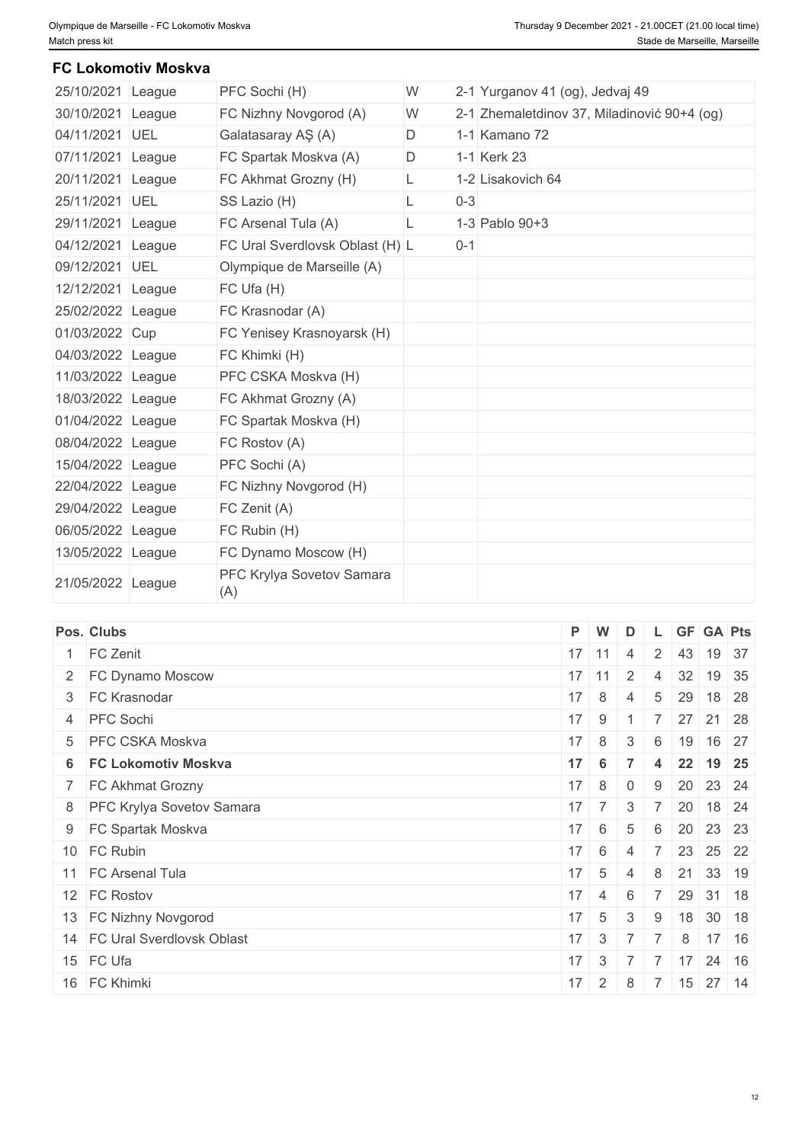### **FC Lokomotiv Moskva**

| 25/10/2021 League |        | PFC Sochi (H)                    | W |         | 2-1 Yurganov 41 (og), Jedvaj 49             |  |
|-------------------|--------|----------------------------------|---|---------|---------------------------------------------|--|
| 30/10/2021 League |        | FC Nizhny Novgorod (A)           | W |         | 2-1 Zhemaletdinov 37, Miladinović 90+4 (og) |  |
| 04/11/2021 UEL    |        | Galatasaray AŞ (A)               | D |         | 1-1 Kamano 72                               |  |
| 07/11/2021        | League | FC Spartak Moskva (A)            | D |         | 1-1 Kerk 23                                 |  |
| 20/11/2021 League |        | FC Akhmat Grozny (H)             | L |         | 1-2 Lisakovich 64                           |  |
| 25/11/2021 UEL    |        | SS Lazio (H)                     | L | $0 - 3$ |                                             |  |
| 29/11/2021 League |        | FC Arsenal Tula (A)              | L |         | 1-3 Pablo 90+3                              |  |
| 04/12/2021 League |        | FC Ural Sverdlovsk Oblast (H) L  |   | $0 - 1$ |                                             |  |
| 09/12/2021 UEL    |        | Olympique de Marseille (A)       |   |         |                                             |  |
| 12/12/2021 League |        | FC Ufa (H)                       |   |         |                                             |  |
| 25/02/2022 League |        | FC Krasnodar (A)                 |   |         |                                             |  |
| 01/03/2022 Cup    |        | FC Yenisey Krasnoyarsk (H)       |   |         |                                             |  |
| 04/03/2022 League |        | FC Khimki (H)                    |   |         |                                             |  |
| 11/03/2022 League |        | PFC CSKA Moskva (H)              |   |         |                                             |  |
| 18/03/2022 League |        | FC Akhmat Grozny (A)             |   |         |                                             |  |
| 01/04/2022 League |        | FC Spartak Moskva (H)            |   |         |                                             |  |
| 08/04/2022 League |        | FC Rostov (A)                    |   |         |                                             |  |
| 15/04/2022 League |        | PFC Sochi (A)                    |   |         |                                             |  |
| 22/04/2022 League |        | FC Nizhny Novgorod (H)           |   |         |                                             |  |
| 29/04/2022 League |        | FC Zenit (A)                     |   |         |                                             |  |
| 06/05/2022 League |        | FC Rubin (H)                     |   |         |                                             |  |
| 13/05/2022 League |        | FC Dynamo Moscow (H)             |   |         |                                             |  |
| 21/05/2022 League |        | PFC Krylya Sovetov Samara<br>(A) |   |         |                                             |  |

|                                                                                                                                                                                                                                                                                                                                                      |                | D                                                                                                                                                                                                                    |                                                         |                                                     |          |                                                                                                                                                   |
|------------------------------------------------------------------------------------------------------------------------------------------------------------------------------------------------------------------------------------------------------------------------------------------------------------------------------------------------------|----------------|----------------------------------------------------------------------------------------------------------------------------------------------------------------------------------------------------------------------|---------------------------------------------------------|-----------------------------------------------------|----------|---------------------------------------------------------------------------------------------------------------------------------------------------|
|                                                                                                                                                                                                                                                                                                                                                      |                | 4                                                                                                                                                                                                                    | $\overline{2}$                                          |                                                     | 19 37    |                                                                                                                                                   |
|                                                                                                                                                                                                                                                                                                                                                      |                |                                                                                                                                                                                                                      | $\overline{4}$                                          |                                                     |          |                                                                                                                                                   |
|                                                                                                                                                                                                                                                                                                                                                      |                | -4                                                                                                                                                                                                                   | 5                                                       |                                                     |          | 18 28                                                                                                                                             |
|                                                                                                                                                                                                                                                                                                                                                      |                |                                                                                                                                                                                                                      | $\overline{7}$                                          |                                                     |          |                                                                                                                                                   |
|                                                                                                                                                                                                                                                                                                                                                      |                | $\mathcal{S}$                                                                                                                                                                                                        |                                                         |                                                     |          | 16 27                                                                                                                                             |
|                                                                                                                                                                                                                                                                                                                                                      |                | $\overline{7}$                                                                                                                                                                                                       | 4                                                       |                                                     |          | 19 25                                                                                                                                             |
|                                                                                                                                                                                                                                                                                                                                                      |                | $\overline{0}$                                                                                                                                                                                                       | 9                                                       |                                                     |          |                                                                                                                                                   |
|                                                                                                                                                                                                                                                                                                                                                      |                |                                                                                                                                                                                                                      |                                                         |                                                     |          | $18 \mid 24$                                                                                                                                      |
|                                                                                                                                                                                                                                                                                                                                                      |                | 5                                                                                                                                                                                                                    | 6                                                       |                                                     |          |                                                                                                                                                   |
|                                                                                                                                                                                                                                                                                                                                                      |                | -4                                                                                                                                                                                                                   | $\overline{7}$                                          |                                                     |          |                                                                                                                                                   |
|                                                                                                                                                                                                                                                                                                                                                      |                | -4                                                                                                                                                                                                                   |                                                         |                                                     |          |                                                                                                                                                   |
|                                                                                                                                                                                                                                                                                                                                                      |                | 6                                                                                                                                                                                                                    |                                                         |                                                     |          |                                                                                                                                                   |
|                                                                                                                                                                                                                                                                                                                                                      |                | $\mathbf{3}$                                                                                                                                                                                                         | 9                                                       |                                                     |          |                                                                                                                                                   |
|                                                                                                                                                                                                                                                                                                                                                      |                |                                                                                                                                                                                                                      |                                                         | 8                                                   |          | $17 \mid 16$                                                                                                                                      |
|                                                                                                                                                                                                                                                                                                                                                      |                |                                                                                                                                                                                                                      | $\overline{7}$                                          | 17                                                  |          | $24 \mid 16$                                                                                                                                      |
| 17                                                                                                                                                                                                                                                                                                                                                   | 2 <sup>1</sup> | 8                                                                                                                                                                                                                    |                                                         |                                                     |          |                                                                                                                                                   |
| Pos. Clubs<br>1 FC Zenit<br>2 FC Dynamo Moscow<br>3 FC Krasnodar<br>4 PFC Sochi<br>5 PFC CSKA Moskva<br>6 FC Lokomotiv Moskva<br>7 FC Akhmat Grozny<br>8 PFC Krylya Sovetov Samara<br>9 FC Spartak Moskva<br>10 FC Rubin<br>11 FC Arsenal Tula<br>12 FC Rostov<br>13 FC Nizhny Novgorod<br>14 FC Ural Sverdlovsk Oblast<br>15 FC Ufa<br>16 FC Khimki |                | P W<br>$17$ 11<br>$17$ 11<br>$17 \mid 8 \mid$<br>$17 \quad 9$<br>$17 \quad 8$<br>$17 \quad 6$<br>$17 \quad 8$<br>$17 \mid 6 \mid$<br>$17 \quad 6$<br>$17 \quad 5$<br>$17 \mid 4 \mid$<br>$17 \mid 5$<br>$17 \quad 3$ | 2<br>$17 \mid 7 \mid$<br>$\mathbf{3}$<br>$\overline{7}$ | $-7$<br>$7^{\circ}$<br>$17 \quad 3 \quad 7 \quad 7$ | 29<br>22 | L GF GA Pts<br>43<br>32 19 35<br>$27$ 21 28<br>6 19<br>20 23 24<br>20<br>20 23 23<br>23 25 22<br>8 21 33 19<br>29 31 18<br>18 30 18<br>7 15 27 14 |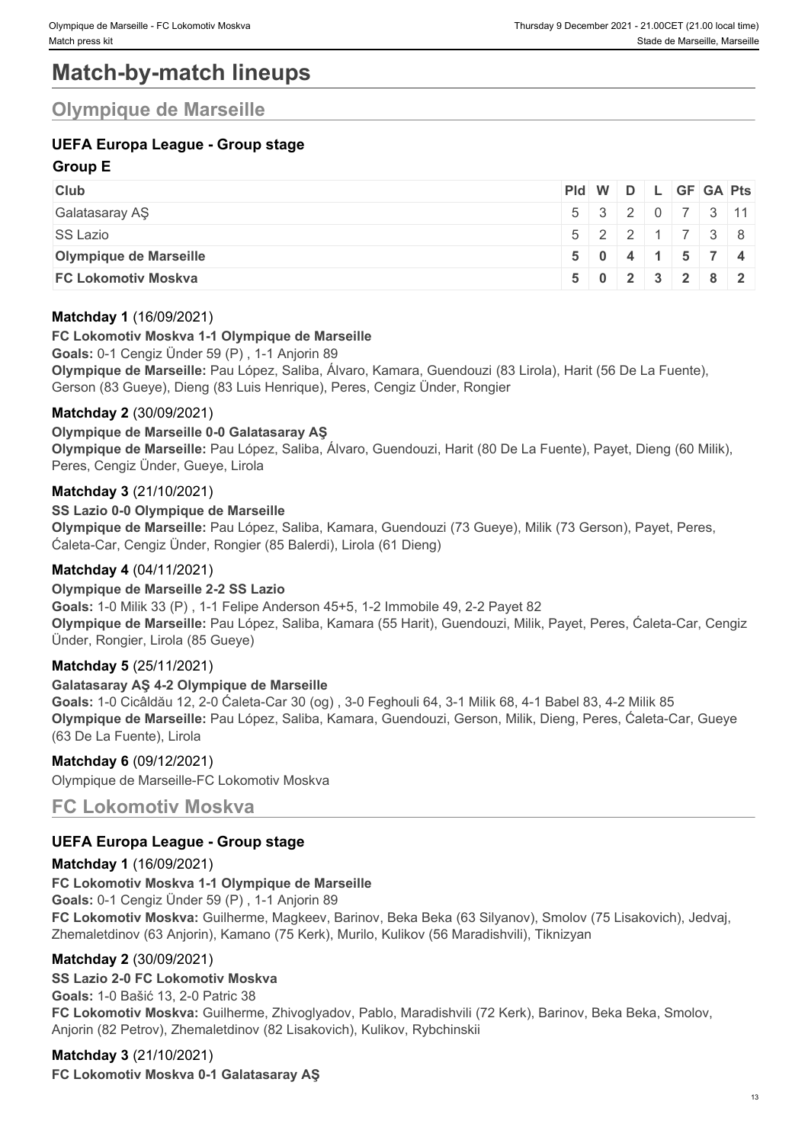# **Match-by-match lineups**

## **Olympique de Marseille**

### **UEFA Europa League - Group stage**

### **Group E**

| <b>Club</b>                |  |  | Pid W D L GF GA Pts                                 |  |
|----------------------------|--|--|-----------------------------------------------------|--|
| Galatasaray AŞ             |  |  | $5 \mid 3 \mid 2 \mid 0 \mid 7 \mid 3 \mid 11 \mid$ |  |
| <b>SS Lazio</b>            |  |  | $5$   2   2   1   7   3   8                         |  |
| Olympique de Marseille     |  |  | $5 \t0 \t4 \t1 \t5 \t7 \t4$                         |  |
| <b>FC Lokomotiv Moskva</b> |  |  | 5 0 2 3 2 8 2                                       |  |

### **Matchday 1** (16/09/2021)

#### **FC Lokomotiv Moskva 1-1 Olympique de Marseille**

**Goals:** 0-1 Cengiz Ünder 59 (P) , 1-1 Anjorin 89

**Olympique de Marseille:** Pau López, Saliba, Álvaro, Kamara, Guendouzi (83 Lirola), Harit (56 De La Fuente), Gerson (83 Gueye), Dieng (83 Luis Henrique), Peres, Cengiz Ünder, Rongier

### **Matchday 2** (30/09/2021)

### **Olympique de Marseille 0-0 Galatasaray AŞ**

**Olympique de Marseille:** Pau López, Saliba, Álvaro, Guendouzi, Harit (80 De La Fuente), Payet, Dieng (60 Milik), Peres, Cengiz Ünder, Gueye, Lirola

### **Matchday 3** (21/10/2021)

### **SS Lazio 0-0 Olympique de Marseille**

**Olympique de Marseille:** Pau López, Saliba, Kamara, Guendouzi (73 Gueye), Milik (73 Gerson), Payet, Peres, Ćaleta-Car, Cengiz Ünder, Rongier (85 Balerdi), Lirola (61 Dieng)

### **Matchday 4** (04/11/2021)

#### **Olympique de Marseille 2-2 SS Lazio**

**Goals:** 1-0 Milik 33 (P) , 1-1 Felipe Anderson 45+5, 1-2 Immobile 49, 2-2 Payet 82 **Olympique de Marseille:** Pau López, Saliba, Kamara (55 Harit), Guendouzi, Milik, Payet, Peres, Ćaleta-Car, Cengiz Ünder, Rongier, Lirola (85 Gueye)

#### **Matchday 5** (25/11/2021)

#### **Galatasaray AŞ 4-2 Olympique de Marseille**

**Goals:** 1-0 Cicâldău 12, 2-0 Ćaleta-Car 30 (og) , 3-0 Feghouli 64, 3-1 Milik 68, 4-1 Babel 83, 4-2 Milik 85 **Olympique de Marseille:** Pau López, Saliba, Kamara, Guendouzi, Gerson, Milik, Dieng, Peres, Ćaleta-Car, Gueye (63 De La Fuente), Lirola

### **Matchday 6** (09/12/2021)

Olympique de Marseille-FC Lokomotiv Moskva

**FC Lokomotiv Moskva**

### **UEFA Europa League - Group stage**

### **Matchday 1** (16/09/2021)

### **FC Lokomotiv Moskva 1-1 Olympique de Marseille**

**Goals:** 0-1 Cengiz Ünder 59 (P) , 1-1 Anjorin 89 **FC Lokomotiv Moskva:** Guilherme, Magkeev, Barinov, Beka Beka (63 Silyanov), Smolov (75 Lisakovich), Jedvaj, Zhemaletdinov (63 Anjorin), Kamano (75 Kerk), Murilo, Kulikov (56 Maradishvili), Tiknizyan

### **Matchday 2** (30/09/2021)

### **SS Lazio 2-0 FC Lokomotiv Moskva**

**Goals:** 1-0 Bašić 13, 2-0 Patric 38

**FC Lokomotiv Moskva:** Guilherme, Zhivoglyadov, Pablo, Maradishvili (72 Kerk), Barinov, Beka Beka, Smolov, Anjorin (82 Petrov), Zhemaletdinov (82 Lisakovich), Kulikov, Rybchinskii

**Matchday 3** (21/10/2021) **FC Lokomotiv Moskva 0-1 Galatasaray AŞ**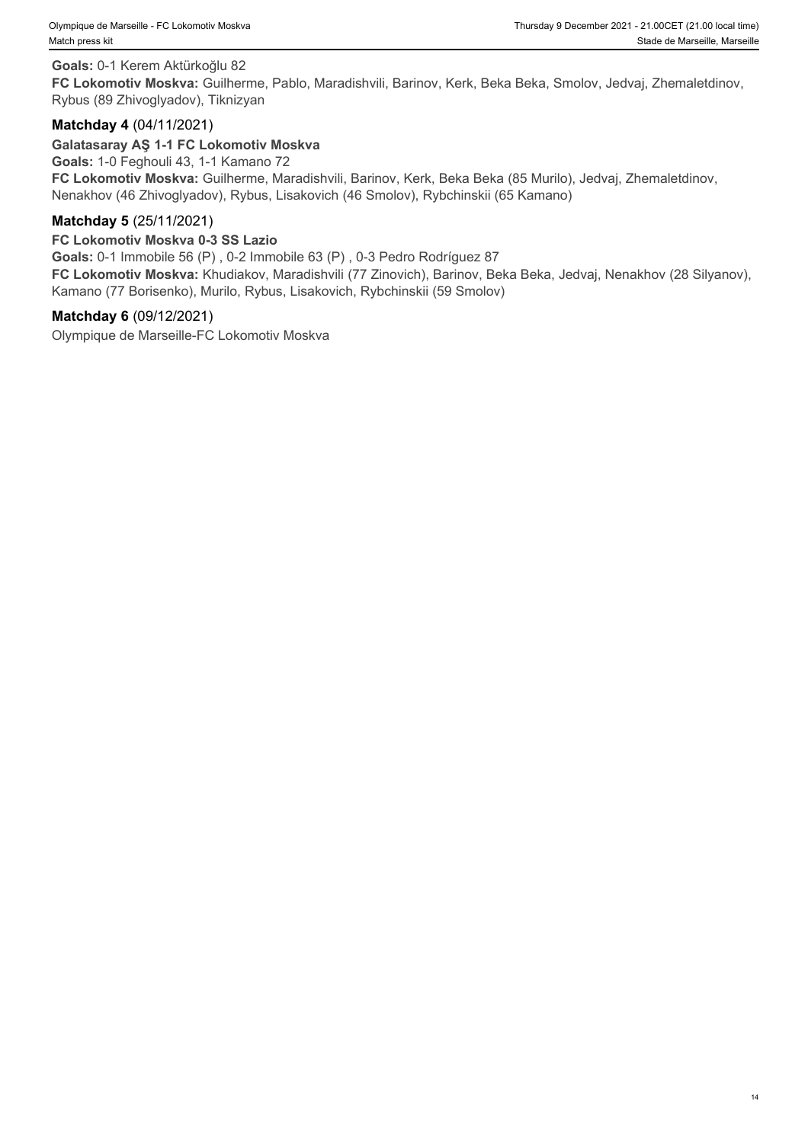#### **Goals:** 0-1 Kerem Aktürkoğlu 82

**FC Lokomotiv Moskva:** Guilherme, Pablo, Maradishvili, Barinov, Kerk, Beka Beka, Smolov, Jedvaj, Zhemaletdinov, Rybus (89 Zhivoglyadov), Tiknizyan

### **Matchday 4** (04/11/2021)

**Galatasaray AŞ 1-1 FC Lokomotiv Moskva Goals:** 1-0 Feghouli 43, 1-1 Kamano 72

**FC Lokomotiv Moskva:** Guilherme, Maradishvili, Barinov, Kerk, Beka Beka (85 Murilo), Jedvaj, Zhemaletdinov, Nenakhov (46 Zhivoglyadov), Rybus, Lisakovich (46 Smolov), Rybchinskii (65 Kamano)

### **Matchday 5** (25/11/2021)

### **FC Lokomotiv Moskva 0-3 SS Lazio**

**Goals:** 0-1 Immobile 56 (P) , 0-2 Immobile 63 (P) , 0-3 Pedro Rodríguez 87

**FC Lokomotiv Moskva:** Khudiakov, Maradishvili (77 Zinovich), Barinov, Beka Beka, Jedvaj, Nenakhov (28 Silyanov), Kamano (77 Borisenko), Murilo, Rybus, Lisakovich, Rybchinskii (59 Smolov)

### **Matchday 6** (09/12/2021)

Olympique de Marseille-FC Lokomotiv Moskva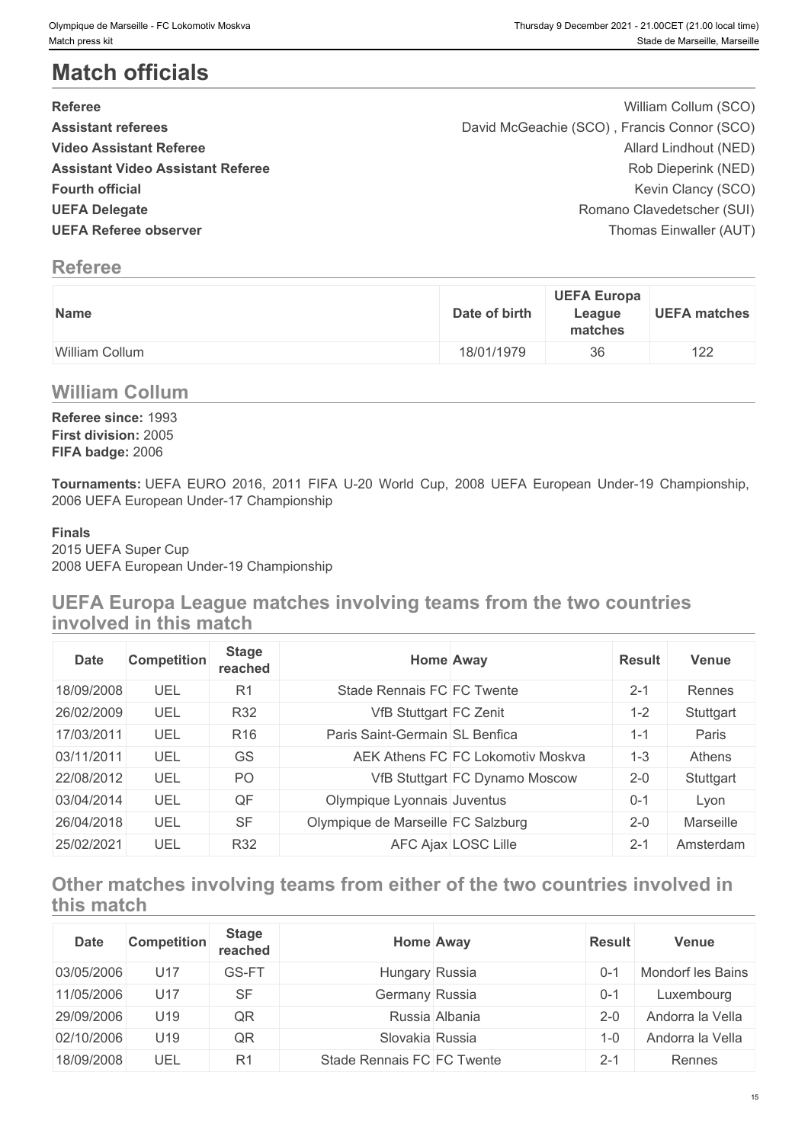# **Match officials**

| Olympique de Marseille - FC Lokomotiv Moskva<br>Match press kit                                                                              |               |                    | Thursday 9 December 2021 - 21.00CET (21.00 local time)<br>Stade de Marseille, Marseille |
|----------------------------------------------------------------------------------------------------------------------------------------------|---------------|--------------------|-----------------------------------------------------------------------------------------|
| <b>Match officials</b>                                                                                                                       |               |                    |                                                                                         |
| <b>Referee</b>                                                                                                                               |               |                    | William Collum (SCO)                                                                    |
| <b>Assistant referees</b>                                                                                                                    |               |                    | David McGeachie (SCO), Francis Connor (SCO)                                             |
| <b>Video Assistant Referee</b>                                                                                                               |               |                    | Allard Lindhout (NED)                                                                   |
| <b>Assistant Video Assistant Referee</b>                                                                                                     |               |                    | Rob Dieperink (NED)                                                                     |
| <b>Fourth official</b>                                                                                                                       |               |                    | Kevin Clancy (SCO)                                                                      |
| <b>UEFA Delegate</b><br><b>UEFA Referee observer</b>                                                                                         |               |                    | Romano Clavedetscher (SUI)                                                              |
|                                                                                                                                              |               |                    | Thomas Einwaller (AUT)                                                                  |
| <b>Referee</b>                                                                                                                               |               |                    |                                                                                         |
|                                                                                                                                              |               | <b>UEFA Europa</b> |                                                                                         |
| Name                                                                                                                                         | Date of birth | League<br>matches  | <b>UEFA matches</b>                                                                     |
| William Collum                                                                                                                               | 18/01/1979    | 36                 | 122                                                                                     |
| <b>William Collum</b>                                                                                                                        |               |                    |                                                                                         |
| Referee since: 1993                                                                                                                          |               |                    |                                                                                         |
| First division: 2005                                                                                                                         |               |                    |                                                                                         |
| FIFA badge: 2006                                                                                                                             |               |                    |                                                                                         |
| Tournaments: UEFA EURO 2016, 2011 FIFA U-20 World Cup, 2008 UEFA European Under-19 Championship,<br>2006 UEFA European Under-17 Championship |               |                    |                                                                                         |
| <b>Finals</b><br>2015 UEFA Super Cup<br>2008 UEFA European Under-19 Championship                                                             |               |                    |                                                                                         |
|                                                                                                                                              |               |                    |                                                                                         |

# **Referee**

| Name           | <b>UEFA Europa</b><br>Date of birth<br>League<br>matches |
|----------------|----------------------------------------------------------|
| William Collum | 18/01/1979<br>36                                         |

## **William Collum**

### **Finals**

## **UEFA Europa League matches involving teams from the two countries involved in this match**

| <b>Date</b> | <b>Competition</b> | <b>Stage</b><br>reached |                                    | <b>Home Away</b>                  | <b>Result</b> | <b>Venue</b> |
|-------------|--------------------|-------------------------|------------------------------------|-----------------------------------|---------------|--------------|
| 18/09/2008  | UEL                | R <sub>1</sub>          | Stade Rennais FC FC Twente         |                                   | $2 - 1$       | Rennes       |
| 26/02/2009  | UEL                | <b>R32</b>              | VfB Stuttgart FC Zenit             |                                   | $1 - 2$       | Stuttgart    |
| 17/03/2011  | UEL                | R <sub>16</sub>         | Paris Saint-Germain SL Benfica     |                                   | $1 - 1$       | Paris        |
| 03/11/2011  | UEL                | GS                      |                                    | AEK Athens FC FC Lokomotiv Moskva | $1 - 3$       | Athens       |
| 22/08/2012  | UEL                | PO                      |                                    | VfB Stuttgart FC Dynamo Moscow    | $2 - 0$       | Stuttgart    |
| 03/04/2014  | UEL                | QF                      | Olympique Lyonnais Juventus        |                                   | $0 - 1$       | Lvon         |
| 26/04/2018  | UEL                | <b>SF</b>               | Olympique de Marseille FC Salzburg |                                   | $2 - 0$       | Marseille    |
| 25/02/2021  | UEL                | <b>R32</b>              |                                    | AFC Ajax LOSC Lille               | $2 - 1$       | Amsterdam    |

# **Other matches involving teams from either of the two countries involved in this match**

| <b>Date</b> | <b>Competition</b> | <b>Stage</b><br>reached | <b>Home Away</b>           |                | <b>Result</b> | <b>Venue</b>      |
|-------------|--------------------|-------------------------|----------------------------|----------------|---------------|-------------------|
| 03/05/2006  | U17                | GS-FT                   | Hungary Russia             |                | $0 - 1$       | Mondorf les Bains |
| 11/05/2006  | U17                | <b>SF</b>               | Germany Russia             |                | $0 - 1$       | Luxembourg        |
| 29/09/2006  | U19                | QR                      |                            | Russia Albania | $2 - 0$       | Andorra la Vella  |
| 02/10/2006  | U19                | QR                      | Slovakia Russia            |                | -0            | Andorra la Vella  |
| 18/09/2008  | UEL                | R <sub>1</sub>          | Stade Rennais FC FC Twente |                | $2 - 1$       | Rennes            |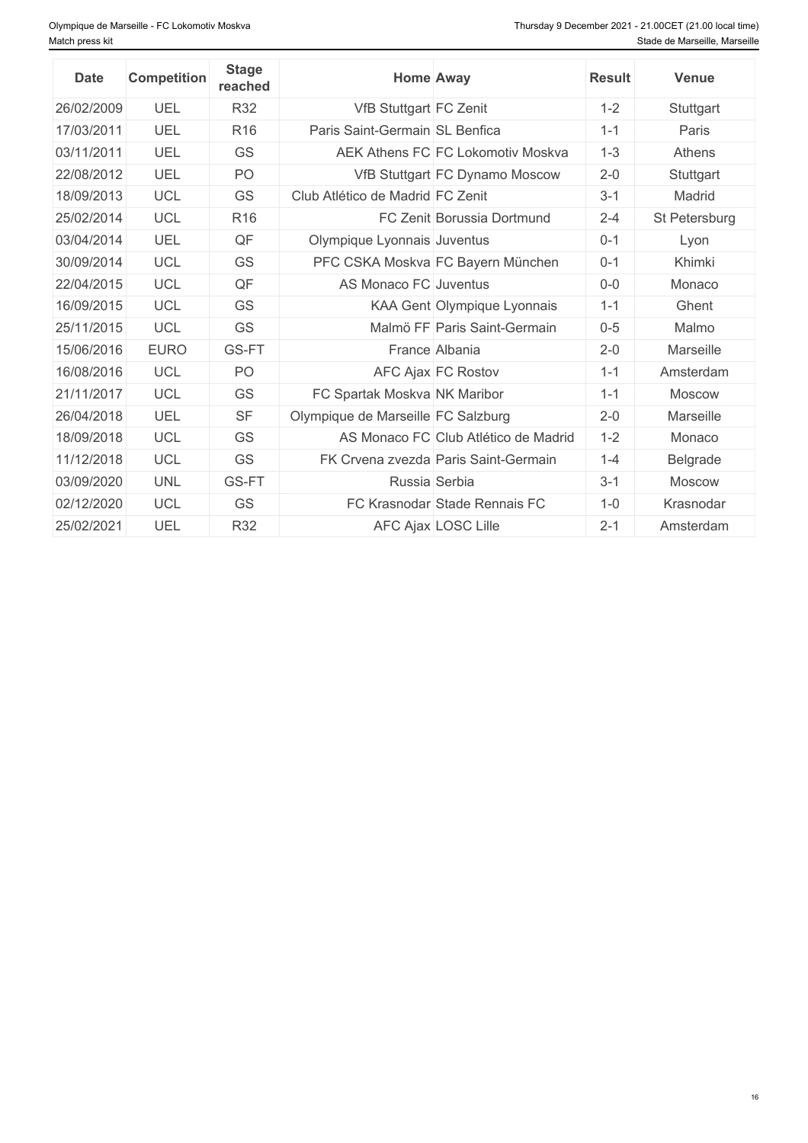| <b>Date</b> | <b>Competition</b> | <b>Stage</b><br>reached | <b>Home Away</b>                     | <b>Result</b> | <b>Venue</b>  |
|-------------|--------------------|-------------------------|--------------------------------------|---------------|---------------|
| 26/02/2009  | UEL                | R32                     | VfB Stuttgart FC Zenit               | $1 - 2$       | Stuttgart     |
| 17/03/2011  | UEL                | R <sub>16</sub>         | Paris Saint-Germain SL Benfica       | $1 - 1$       | Paris         |
| 03/11/2011  | UEL                | <b>GS</b>               | AEK Athens FC FC Lokomotiv Moskva    | $1-3$         | <b>Athens</b> |
| 22/08/2012  | UEL                | PO                      | VfB Stuttgart FC Dynamo Moscow       | $2 - 0$       | Stuttgart     |
| 18/09/2013  | <b>UCL</b>         | <b>GS</b>               | Club Atlético de Madrid FC Zenit     | $3 - 1$       | Madrid        |
| 25/02/2014  | <b>UCL</b>         | R <sub>16</sub>         | FC Zenit Borussia Dortmund           | $2 - 4$       | St Petersburg |
| 03/04/2014  | <b>UEL</b>         | QF                      | Olympique Lyonnais Juventus          | $0 - 1$       | Lyon          |
| 30/09/2014  | <b>UCL</b>         | GS                      | PFC CSKA Moskva FC Bayern München    | $0 - 1$       | Khimki        |
| 22/04/2015  | <b>UCL</b>         | QF                      | AS Monaco FC Juventus                | $0-0$         | Monaco        |
| 16/09/2015  | <b>UCL</b>         | GS                      | KAA Gent Olympique Lyonnais          | $1 - 1$       | Ghent         |
| 25/11/2015  | <b>UCL</b>         | <b>GS</b>               | Malmö FF Paris Saint-Germain         | $0 - 5$       | Malmo         |
| 15/06/2016  | <b>EURO</b>        | GS-FT                   | France Albania                       | $2 - 0$       | Marseille     |
| 16/08/2016  | <b>UCL</b>         | PO                      | AFC Ajax FC Rostov                   | $1 - 1$       | Amsterdam     |
| 21/11/2017  | <b>UCL</b>         | GS                      | FC Spartak Moskva NK Maribor         | $1 - 1$       | <b>Moscow</b> |
| 26/04/2018  | UEL                | <b>SF</b>               | Olympique de Marseille FC Salzburg   | $2 - 0$       | Marseille     |
| 18/09/2018  | <b>UCL</b>         | <b>GS</b>               | AS Monaco FC Club Atlético de Madrid | $1 - 2$       | Monaco        |
| 11/12/2018  | <b>UCL</b>         | <b>GS</b>               | FK Crvena zvezda Paris Saint-Germain | $1 - 4$       | Belgrade      |
| 03/09/2020  | <b>UNL</b>         | GS-FT                   | Russia Serbia                        | $3 - 1$       | <b>Moscow</b> |
| 02/12/2020  | <b>UCL</b>         | <b>GS</b>               | FC Krasnodar Stade Rennais FC        | $1 - 0$       | Krasnodar     |
| 25/02/2021  | UEL                | <b>R32</b>              | AFC Ajax LOSC Lille                  | $2 - 1$       | Amsterdam     |